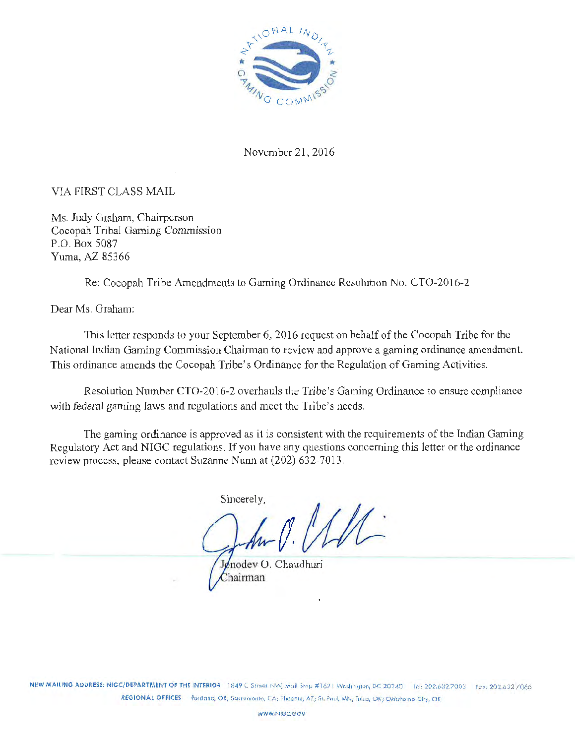

November 21, 2016

# VIA FIRST CLASS MAIL

Ms. Judy Graham, Chairperson Cocopah Tribal Gaming Commission P.O. Box 5087 Yuma, AZ 85366

Re: Cocopah Tribe Amendments to Gaming Ordinance Resolution No. CT0-2016-2

Dear Ms. Graham:

This letter responds to your September 6, 2016 request on behalf of the Cocopah Tribe for the National Indian Gaming Commission Chairman to review and approve a gaming ordinance amendment. This ordinance amends the Cocopah Tribe's Ordinance for the Regulation of Gaming Activities.

Resolution Number CT0-2016-2 overhauls the Tribe's Gaming Ordinance to ensure compliance with federal gaming laws and regulations and meet the Tribe's needs.

The gaming ordinance is approved as it is consistent with the requirements of the Tndian Gaming Regulatory Act and NIGC regulations. If you have any questions concerning this letter or the ordinance review process, please contact Suzanne Nunn at (202) 632-7013.

Sincerely,

Jønodev O. Chaudhuri Chairman

NEW MAILING ADDRESS: NIGC/DEPARTMENT OF THE INTERIOR 1849 C Street NW, Mull Stop #1621 Washington, DC 20240 Tol: 202.632.7003 Fox: 202.632 /066 RECIONAL OFFICES Purtland, OR; Sacramento, CA; Phoenix, AZ; St. Poul, MN; Tulsa, OK; Oklahomo City, OK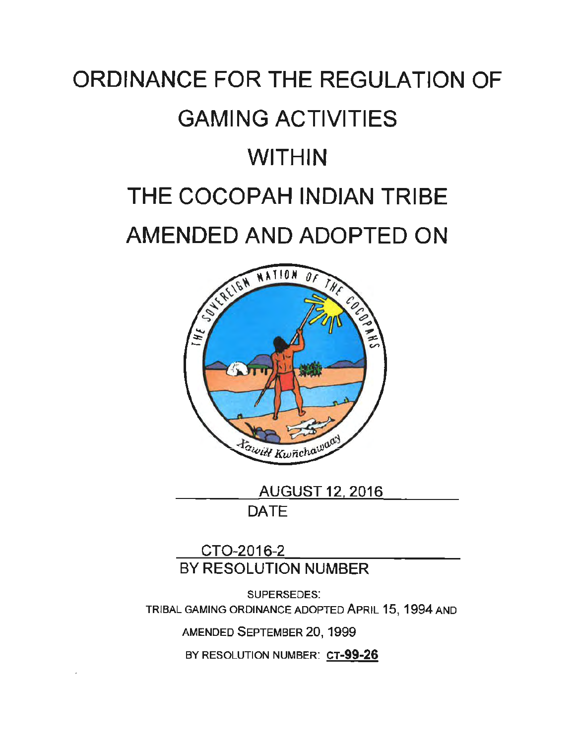# ORDINANCE FOR THE REGULATION OF GAMING ACTIVITIES WITHIN THE COCOPAH INDIAN TRIBE AMENDED AND ADOPTED ON



AUGUST 12, 2016 DATE

CT0-2016-2 BY RESOLUTION NUMBER

SUPERSEDES: TRIBAL GAMING ORDINANCE ADOPTED APRIL 15, 1994 AND

AMENDED SEPTEMBER 20, 1999

BY RESOLUTION NUMBER: CT-99-26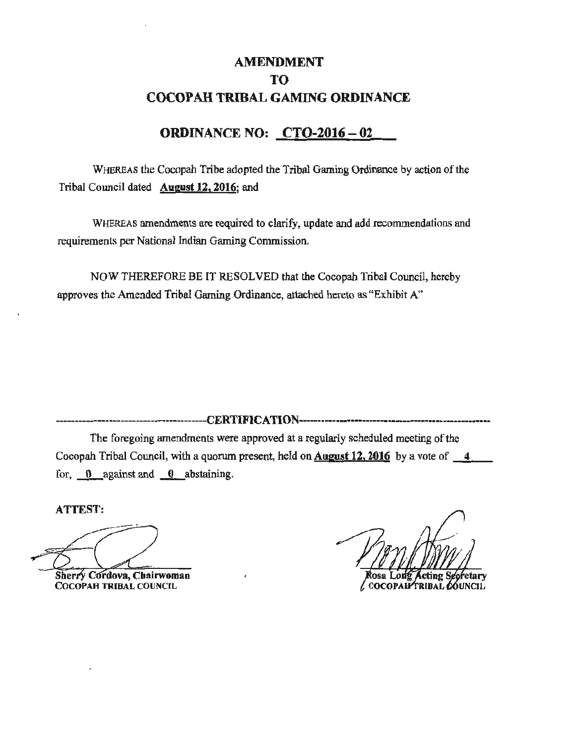# AMENDMENT TO COCOPAH TRIBAL GAMING ORDINANCE

# ORDINANCE NO: CTO-2016 - 02

WHEREAS the Cocopah Tribe adopted the Tribal Gaming Ordinance by action of the Tribal Council dated August 12, 2016; and

WHEREAS amendments are required to clarify, update and add recommendations and requirements per National Indian Gaming Commission.

NOW THEREFORE BE IT RESOLVED that the Cocopah Tribal Council, hereby approves the Amended Tribal Gaming Ordinance, attached hereto as "Exhibit A"

-------------···--------------··--------C::E:li'I'IF'IC:ATl()Jli ..........•••............•.........•...............•

The foregoing amendments were approved at a regularly scheduled meeting of the Cocopah Tribal Council, with a quorum present, held on **August 12, 2016** by a vote of  $\overline{a}$ for,  $\theta$  against and  $\theta$  abstaining.

ATTEST:

Sherry Cordova, Chairwoman COCOPAH TRIBAL COUNCIL

Rosa Long Acting Secretary<br>COCOPAH TRIBAL COUNCIL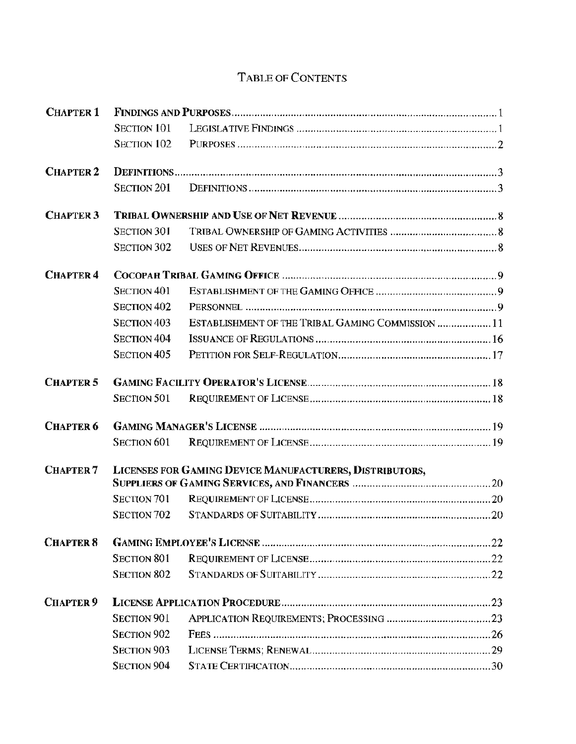# TABLE OF CONTENTS

| <b>CHAPTER 1</b> |                                                         |                                                   |
|------------------|---------------------------------------------------------|---------------------------------------------------|
|                  | <b>SECTION 101</b>                                      |                                                   |
|                  | <b>SECTION 102</b>                                      |                                                   |
| <b>CHAPTER 2</b> |                                                         |                                                   |
|                  | <b>SECTION 201</b>                                      |                                                   |
| <b>CHAPTER 3</b> |                                                         |                                                   |
|                  | <b>SECTION 301</b>                                      |                                                   |
|                  | <b>SECTION 302</b>                                      |                                                   |
| <b>CHAPTER 4</b> |                                                         |                                                   |
|                  | <b>SECTION 401</b>                                      |                                                   |
|                  | <b>SECTION 402</b>                                      |                                                   |
|                  | <b>SECTION 403</b>                                      | ESTABLISHMENT OF THE TRIBAL GAMING COMMISSION  11 |
|                  | <b>SECTION 404</b>                                      |                                                   |
|                  | <b>SECTION 405</b>                                      |                                                   |
| <b>CHAPTER 5</b> |                                                         |                                                   |
|                  | <b>SECTION 501</b>                                      |                                                   |
| <b>CHAPTER 6</b> |                                                         |                                                   |
|                  | <b>SECTION 601</b>                                      |                                                   |
| <b>CHAPTER 7</b> | LICENSES FOR GAMING DEVICE MANUFACTURERS, DISTRIBUTORS, |                                                   |
|                  |                                                         |                                                   |
|                  | SECTION 701                                             |                                                   |
|                  | SECTION 702                                             |                                                   |
| <b>CHAPTER 8</b> |                                                         |                                                   |
|                  | <b>SECTION 801</b>                                      |                                                   |
|                  | <b>SECTION 802</b>                                      |                                                   |
| <b>CHAPTER 9</b> |                                                         |                                                   |
|                  | <b>SECTION 901</b>                                      |                                                   |
|                  | <b>SECTION 902</b>                                      |                                                   |
|                  | <b>SECTION 903</b>                                      |                                                   |
|                  | <b>SECTION 904</b>                                      |                                                   |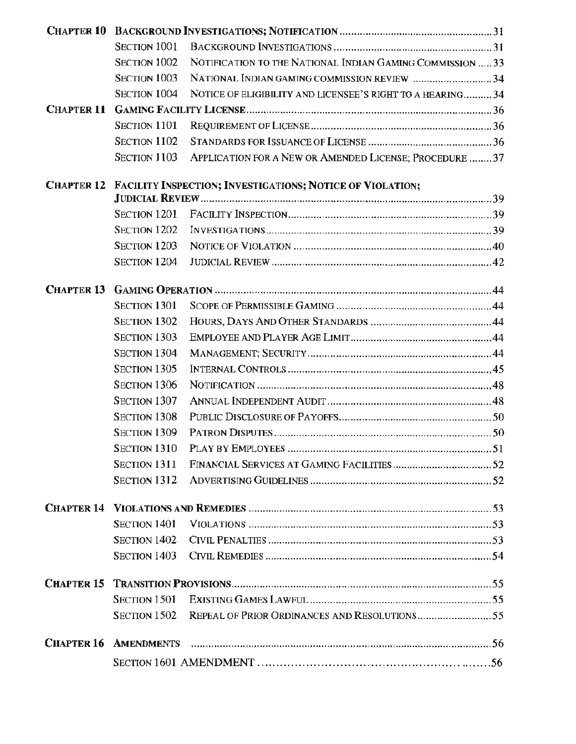|                   | <b>SECTION 1001</b> |                                                                  |  |
|-------------------|---------------------|------------------------------------------------------------------|--|
|                   | <b>SECTION 1002</b> | NOTIFICATION TO THE NATIONAL INDIAN GAMING COMMISSION  33        |  |
|                   | SECTION 1003        | NATIONAL INDIAN GAMING COMMISSION REVIEW 34                      |  |
|                   | <b>SECTION 1004</b> | NOTICE OF ELIGIBILITY AND LICENSEE'S RIGHT TO A HEARING34        |  |
| <b>CHAPTER 11</b> |                     |                                                                  |  |
|                   | SECTION 1101        |                                                                  |  |
|                   | SECTION 1102        |                                                                  |  |
|                   | <b>SECTION 1103</b> | APPLICATION FOR A NEW OR AMENDED LICENSE; PROCEDURE  37          |  |
| <b>CHAPTER 12</b> |                     | <b>FACILITY INSPECTION; INVESTIGATIONS; NOTICE OF VIOLATION;</b> |  |
|                   | SECTION 1201        |                                                                  |  |
|                   | <b>SECTION 1202</b> |                                                                  |  |
|                   | SECTION 1203        |                                                                  |  |
|                   | <b>SECTION 1204</b> |                                                                  |  |
| <b>CHAPTER 13</b> |                     |                                                                  |  |
|                   | <b>SECTION 1301</b> |                                                                  |  |
|                   | <b>SECTION 1302</b> |                                                                  |  |
|                   | <b>SECTION 1303</b> |                                                                  |  |
|                   | <b>SECTION 1304</b> |                                                                  |  |
|                   | <b>SECTION 1305</b> |                                                                  |  |
|                   | SECTION 1306        |                                                                  |  |
|                   | SECTION 1307        |                                                                  |  |
|                   | <b>SECTION 1308</b> |                                                                  |  |
|                   | <b>SECTION 1309</b> |                                                                  |  |
|                   | <b>SECTION 1310</b> |                                                                  |  |
|                   | SECTION 1311        |                                                                  |  |
|                   | <b>SECTION 1312</b> |                                                                  |  |
| <b>CHAPTER 14</b> |                     |                                                                  |  |
|                   | <b>SECTION 1401</b> |                                                                  |  |
|                   | <b>SECTION 1402</b> |                                                                  |  |
|                   | <b>SECTION 1403</b> |                                                                  |  |
|                   |                     |                                                                  |  |
|                   | <b>SECTION 1501</b> |                                                                  |  |
|                   | <b>SECTION 1502</b> |                                                                  |  |
| <b>CHAPTER 16</b> | <b>AMENDMENTS</b>   |                                                                  |  |
|                   |                     |                                                                  |  |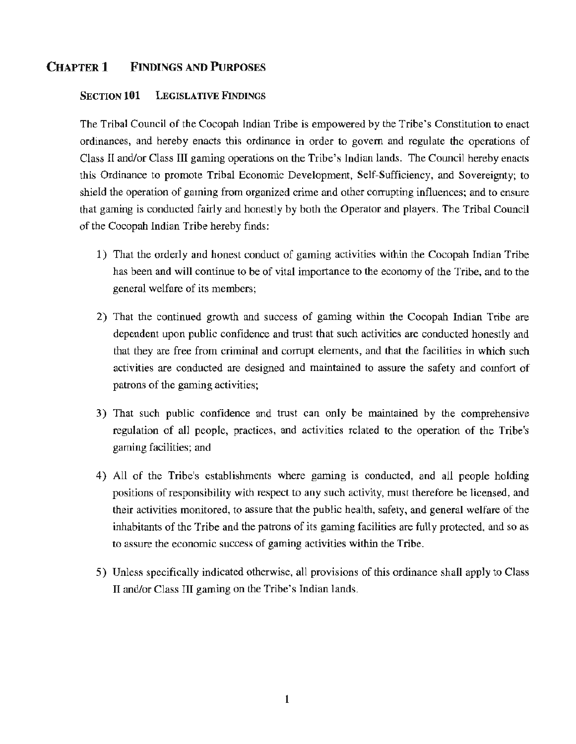# CHAPTER 1 FINDINGS AND PURPOSES

## SECTION 101 LEGISLATIVE FINDINGS

The Tribal Council of the Cocopah Indian Tribe is empowered by the Tribe's Constitution to enact ordinances, and hereby enacts this ordinance in order to govern and regulate the operations of Class II and/or Class III gaming operations on the Tribe's Indian lands. The Council hereby enacts this Ordinance to promote Tribal Economic Development, Self-Sufficiency, and Sovereignty; to shield the operation of gaming from organized crime and other corrupting influences; and to ensure that gaming is conducted fairly and honestly by both the Operator and players. The Tribal Council of the Cocopah Indian Tribe hereby finds:

- 1) That the orderly and honest conduct of gaming activities within the Cocopah Indian Tribe has been and will continue to be of vital importance to the economy of the Tribe, and to the general welfare of its members;
- 2) That the continued growth and success of gaming within the Cocopah Indian Tribe are dependent upon public confidence and trust that such activities are conducted honestly and that they are free from criminal and corrupt elements, and that the facilities in which such activities are conducted are designed and maintained to assure the safety and comfort of patrons of the gaming activities;
- 3) That such public confidence and trust can only be maintained by the comprehensive regulation of all people, practices, and activities related to the operation of the Tribe's gaming facilities; and
- 4) All of the Tribe's establishments where gaming is conducted, and all people holding positions of responsibility with respect to any such activity, must therefore be licensed, and their activities monitored, to assure that the public health, safety, and general welfare of the inhabitants of the Tribe and the patrons of its gaming facilities are fully protected, and so as to assure the economic success of gaming activities within the Tribe.
- 5) Unless specifically indicated otherwise, all provisions of this ordinance shall apply to Class II and/or Class III gaming on the Tribe's Indian lands.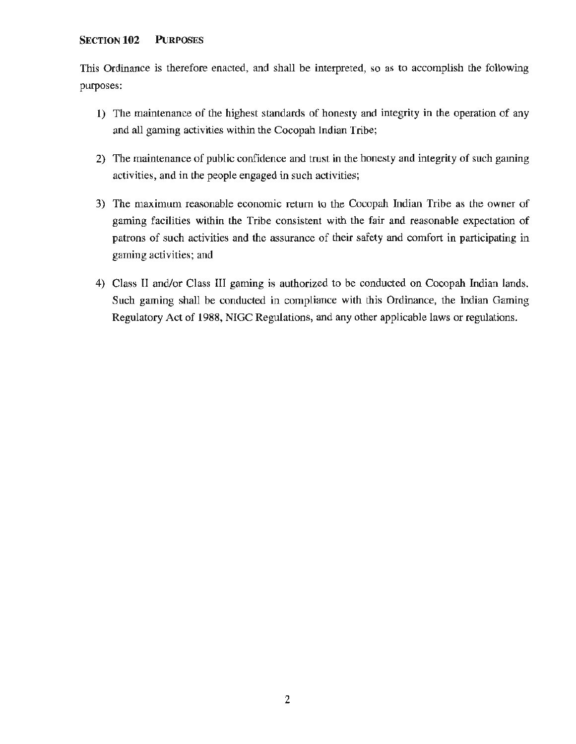## SECTION **102** PuRPOSES

This Ordinance is therefore enacted, and shall be interpreted, so as to accomplish the following purposes:

- 1) The maintenance of the highest standards of honesty and integrity in the operation of any and all gaming activities within the Cocopah Indian Tribe;
- 2) The maintenance of public confidence and trust in the honesty and integrity of such gaming activities, and in the people engaged in such activities;
- 3) The maximum reasonable economic return to the Cocopah fudian Tribe as the owner of gaming facilities within the Tribe consistent with the fair and reasonable expectation of patrons of such activities and the assurance of their safety and comfort in participating in gaming activities; and
- 4) Class II and/or Class III gaming is authorized to be conducted on Cocopah Indian lands. Such gaming shall be conducted in compliance with this Ordinance, the Indian Gaming Regulatory Act of 1988, NIGC Regulations, and any other applicable laws or regulations.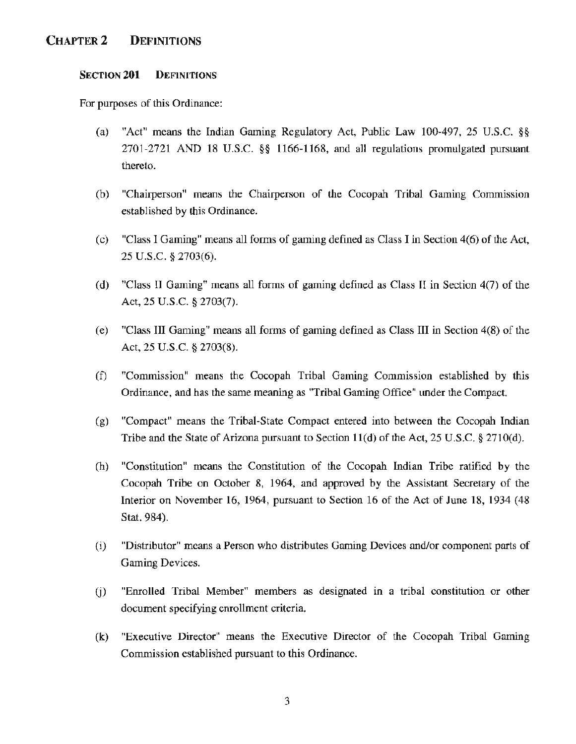# CHAPTER2 DEFINITIONS

#### SECTION 201 DEFINITIONS

For purposes of this Ordinance:

- (a) "Act" means the Indian Gaming Regulatory Act, Public Law 100-497, 25 U.S.C. §§ 2701-2721 AND 18 U.S.C. §§ 1166-1168, and all regulations promulgated pursuant thereto.
- (b) "Chairperson" means the Chairperson of the Cocopah Tribal Gaming Commission established by this Ordinance.
- (c) "Class I Gaming" means all forms of gaming defined as Class I in Section 4(6) of the Act, 25 u.s.c. § 2703(6).
- ( d) "Class II Gaming" means all forms of gaming defined as Class II in Section 4(7) of the Act, 25 U.S.C. § 2703(7).
- (e) "Class III Gaming" means all forms of gaming defined as Class III in Section 4(8) of the Act, 25 U.S.C. § 2703(8).
- (f) "Commission" means the Cocopah Tribal Gaming Commission established by this Ordinance, and has the same meaning as "Tribal Gaming Office" under the Compact.
- (g) "Compact" means the Tribal-State Compact entered into between the Cocopah Indian Tribe and the State of Arizona pursuant to Section  $11(d)$  of the Act, 25 U.S.C. § 2710(d).
- (h) "Constitution" means the Constitution of the Cocopah Indian Tribe ratified by the Cocopah Tribe on October 8, 1964, and approved by the Assistant Secretary of the Interior on November 16, 1964, pursuant to Section 16 of the Act of June 18, 1934 (48 Stat. 984).
- (i) "Distributor" means a Person who distributes Gaming Devices and/or component parts of Gaming Devices.
- (j) "Enrolled Tribal Member" members as designated m a tribal constitution or other document specifying enrollment criteria.
- (k) "Executive Director" means the Executive Director of the Cocopah Tribal Gaming Commission established pursuant to this Ordinance.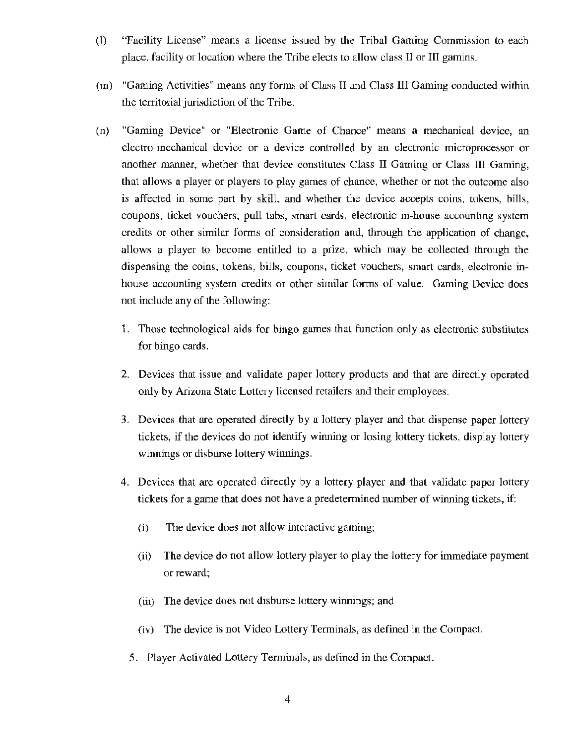- (1) "Facility License" means a license issued by the Tribal Gaming Commission to each place, facility or location where the Tribe elects to allow class II or III gamins.
- (m) "Gaming Activities" means any forms of Class If and Class III Gaming conducted within the territorial jurisdiction of the Tribe.
- (n) "Gaming Device" or "Electronic Game of Chance" means a mechanical device, an electro-mechanical device or a device controlled by an electronic microprocessor or another manner, whether that device constitutes Class II Gaming or Class III Gaming, that allows a player or players to play games of chance, whether or not the outcome also is affected in some part by skill, and whether the device accepts coins, tokens, bills, coupons, ticket vouchers, pull tabs, smart cards, electronic in-house accounting system credits or other similar forms of consideration and, through the application of change, allows a player to become entitled to a prize, which may be collected through the dispensing the coins, tokens, bills, coupons, ticket vouchers, smart cards, electronic inhouse accounting system credits or other similar forms of value. Gaming Device does not include any of the following:
	- 1. Those technological aids for bingo games that function only as electronic substitutes for bingo cards.
	- 2. Devices that issue and validate paper lottery products and that are directly operated only by Arizona State Lottery licensed retailers and their employees.
	- 3. Devices that are operated directly by a lottery player and that dispense paper lottery tickets, if the devices do not identify winning or losing lottery tickets, display lottery winnings or disburse lottery winnings.
	- 4. Devices that are operated directly by a lottery player and that validate paper lottery tickets for a game that does not have a predetermined number of winning tickets, if:
		- (i) The device does not allow interactive gaming;
		- (ii) The device do not allow lottery player to play the lottery for immediate payment or reward;
		- (iii) The device does not disburse lottery winnings; and
		- (iv) The device is not Video Lottery Terminals, as defined in the Compact.
		- 5. Player Activated Lottery Terminals, as defined in the Compact.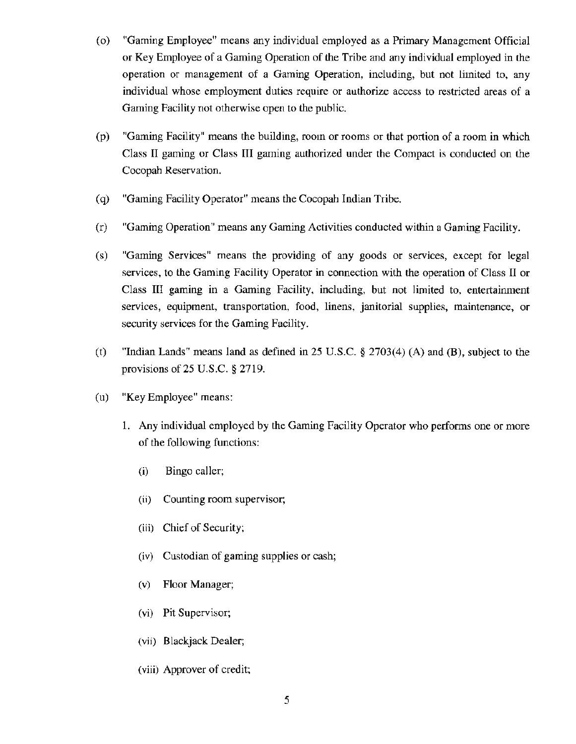- (o) "Gaming Employee" means any individual employed as a Primary Management Official or Key Employee of a Gaming Operation of the Tribe and any individual employed in the operation or management of a Gaming Operation, including, but not limited to, any individual whose employment duties require or authorize access to restricted areas of a Gaming Facility not otherwise open to the public.
- (p) "Gaming Facility" means the building, room or rooms or that portion of a room in which Class II gaming or Class III gaming authorized under the Compact is conducted on the Cocopah Reservation.
- ( q) "Gaming Facility Operator" means the Cocopah Indian Tribe.
- (r) "Gaming Operation" means any Gaming Activities conducted within a Gaming Facility.
- (s) "Gaming Services" means the providing of any goods or services, except for legal services, to the Gaming Facility Operator in connection with the operation of Class II or Class III gaming in a Gaming Facility, including, but not limited to, entertainment services, equipment, transportation, food, linens, janitorial supplies, maintenance, or security services for the Gaming Facility.
- (t) "Indian Lands" means land as defined in 25 U.S.C. § 2703(4) (A) and (B), subject to the provisions of  $25$  U.S.C.  $\S$   $2719$ .
- (u) "Key Employee" means:
	- 1. Any individual employed by the Gaming Facility Operator who performs one or more of the following functions:
		- (i) Bingo caller;
		- (ii) Counting room supervisor;
		- (iii) Chief of Security;
		- (iv) Custodian of gaming supplies or cash;
		- (v) Floor Manager;
		- (vi) Pit Supervisor;
		- (vii) Blackjack Dealer;
		- (viii) Approver of credit;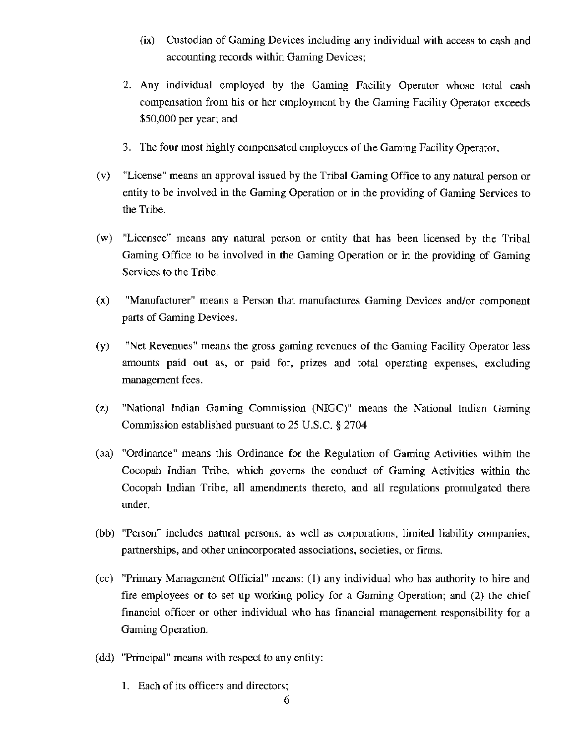- (ix) Custodian of Gaming Devices including any individual with access to cash and accounting records within Gaming Devices;
- 2. Any individual employed by the Gaming Facility Operator whose total cash compensation from his or her employment by the Gaming Facility Operator exceeds \$50,000 per year; and
- 3. The four most highly compensated employees of the Gaming Facility Operator.
- (v) "License" means an approval issued by the Tribal Gaming Office to any natural person or entity to be involved in the Gaming Operation or in the providing of Gaming Services to the Tribe.
- (w) "Licensee" means any natural person or entity that has been licensed by the Tribal Gaming Office to be involved in the Gaming Operation or in the providing of Gaming Services to the Tribe.
- (x) "Manufacturer" means a Person that manufactures Gaming Devices and/or component parts of Gaming Devices.
- (y) "Net Revenues" means the gross gaming revenues of the Gaming Facility Operator less amounts paid out as, or paid for, prizes and total operating expenses, excluding management fees.
- (z) "National Indian Gaming Commission (NIGC)" means the National Indian Gaming Commission established pursuant to  $25$  U.S.C. § 2704
- (aa) "Ordinance" means this Ordinance for the Regulation of Gaming Activities within the Cocopah Indian Tribe, which governs the conduct of Gaming Activities within the Cocopah Indian Tribe, all amendments thereto, and all regulations promulgated there under.
- (bb) "Person" includes natural persons, as well as corporations, limited liability companies, partnerships, and other unincorporated associations, societies, or firms.
- (cc) "Primary Management Official" means: (1) any individual who has authority to hire and fire employees or to set up working policy for a Gaming Operation; and (2) the chief financial officer or other individual who has financial management responsibility for a Gaming Operation.
- (dd) "Principal" means with respect to any entity:
	- 1. Each of its officers and directors;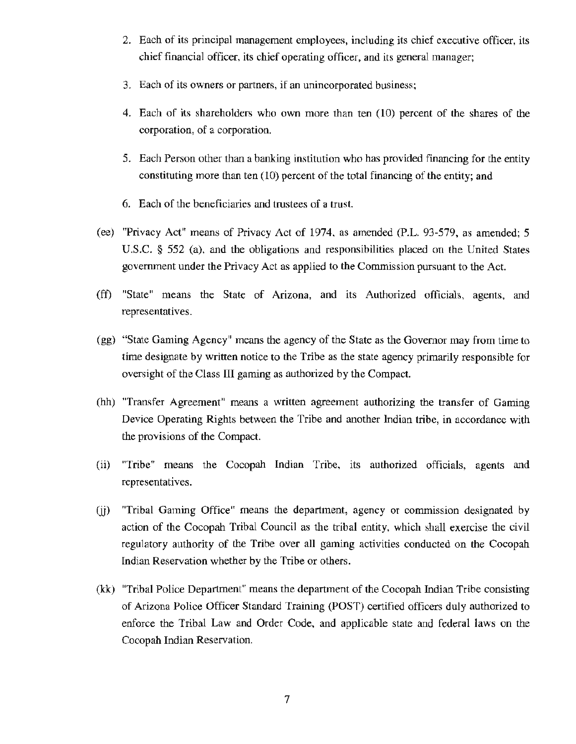- 2. Each of its principal management employees, including its chief executive officer, its chief financial officer, its chief operating officer, and its general manager;
- 3. Each of its owners or partners, if an unincorporated business;
- 4. Each of its shareholders who own more than ten (10) percent of the shares of the corporation, of a corporation.
- 5. Each Person other than a banking institution who has provided financing for the entity constituting more than ten ( 10) percent of the total financing of the entity; and
- 6. Each of the beneficiaries and trustees of a trust.
- (ee) "Privacy Act" means of Privacy Act of 1974, as amended (P.L. 93-579, as amended; 5 U.S.C. § 552 (a), and the obligations and responsibilities placed on the United States government under the Privacy Act as applied to the Commission pursuant to the Act.
- (ff) "State" means the State of Arizona, and its Authorized officials, agents, and representatives.
- (gg) "State Gaming Agency" means the agency of the State as the Governor may from time to time designate by written notice to the Tribe as the state agency primarily responsible for oversight of the Class III gaming as authorized by the Compact.
- (hh) "Transfer Agreement" means a written agreement authorizing the transfer of Gaming Device Operating Rights between the Tribe and another Indian tribe, in accordance with the provisions of the Compact.
- (ii) "Tribe" means the Cocopah Indian Tribe, its authorized officials, agents and representatives.
- (jj) "Tribal Gaming Office" means the depattment, agency or commission designated by action of the Cocopah Tribal Council as the tribal entity, which shall exercise the civil regulatory authority of the Tribe over all gaming activities conducted on the Cocopah Indian Reservation whether by the Tribe or others.
- (kk) "Tribal Police Department" means the department of the Cocopah Indian Tribe consisting of Arizona Police Officer Standard Training (POST) certified officers duly authorized to enforce the Tribal Law and Order Code, and applicable state and federal laws on the Cocopah Indian Reservation.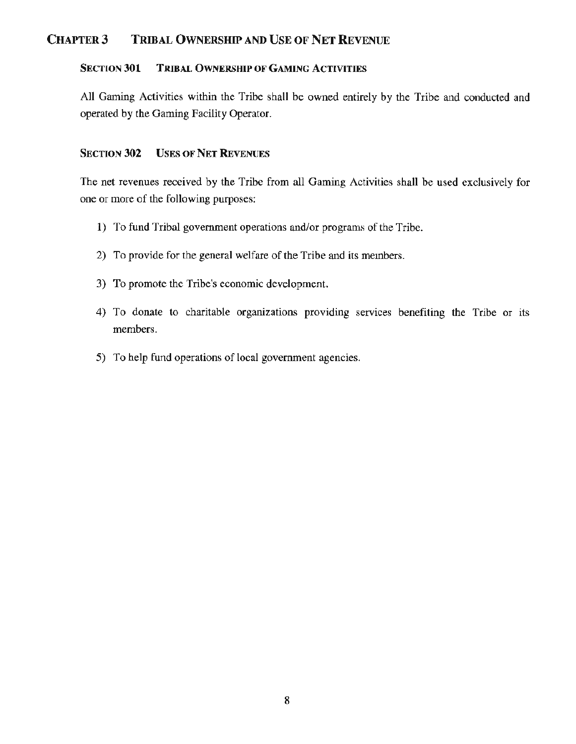# CHAPTER3 TRIBAL OWNERSHIP AND USE OF NET REVENUE

# SECTION 301 TRIBAL OWNERSHIP OF GAMING ACTIVITIES

All Gaming Activities within the Tribe shall be owned entirely by the Tribe and conducted and operated by the Gaming Facility Operator.

## SECTION 302 USES OF NET REVENUES

The net revenues received by the Tribe from all Gaming Activities shall be used exclusively for one or more of the following purposes:

- 1) To fund Tribal government operations and/or programs of the Tribe.
- 2) To provide for the general welfare of the Tribe and its members.
- 3) To promote the Tribe's economic development.
- 4) To donate to charitable organizations providing services benefiting the Tribe or its members.
- 5) To help fund operations of local government agencies.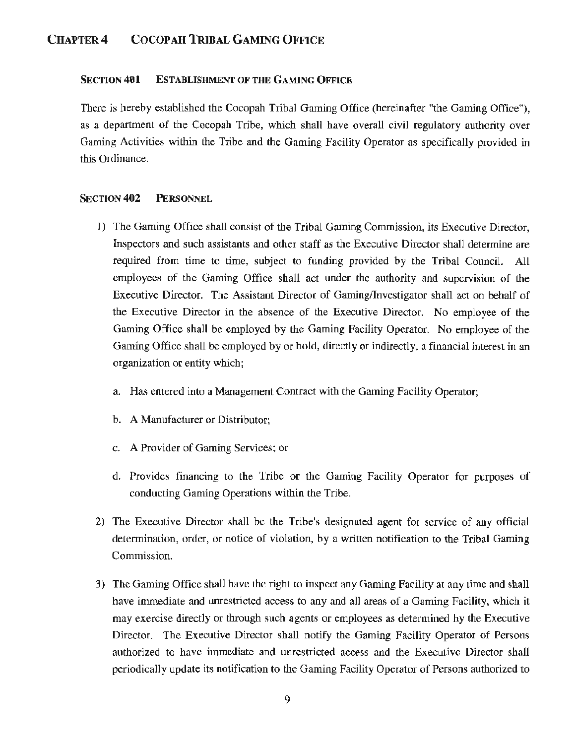# CHAPTER 4 COCOPAH TRIBAL GAMING OFFICE

#### SECTION 401 ESTABLISHMENT OF THE GAMING OFFICE

There is hereby established the Cocopah Tribal Gaming Office (hereinafter "the Gaming Office"), as a department of the Cocopah Tribe, which shall have overall civil regulatory authority over Gaming Activities within the Tribe and the Gaming Facility Operator as specifically provided in this Ordinance.

#### SECTION 402 PERSONNEL

- 1) The Gaming Office shall consist of the Tribal Gaming Commission, its Executive Director, Inspectors and such assistants and other staff as the Executive Director shall determine are required from time to time, subject to funding provided by the Tribal Council. All employees of the Gaming Office shall act under the authority and supervision of the Executive Director. The Assistant Director of Gaming/Investigator shall act on behalf of the Executive Director in the absence of the Executive Director. No employee of the Gaming Office shall be employed by the Gaming Facility Operator. No employee of the Gaming Office shall be employed by or hold, directly or indirectly, a financial interest in an organization or entity which;
	- a. Has entered into a Management Contract with the Gaming Facility Operator;
	- b. A Manufacturer or Distributor;
	- c. A Provider of Gaming Services; or
	- d. Provides financing to the Tribe or the Gaming Facility Operator for purposes of conducting Gaming Operations within the Tribe.
- 2) The Executive Director shall be the Tribe's designated agent for service of any official determination, order, or notice of violation, by a written notification to the Tribal Gaming Commission.
- 3) The Gaming Office shall have the right to inspect any Gaming Facility at any time and shall have immediate and unrestricted access to any and all areas of a Gaming Facility, which it may exercise directly or through such agents or employees as determined by the Executive Director. The Executive Director shall notify the Gaming Facility Operator of Persons authorized to have immediate and unrestricted access and the Executive Director shall periodically update its notification to the Gaming Facility Operator of Persons authorized to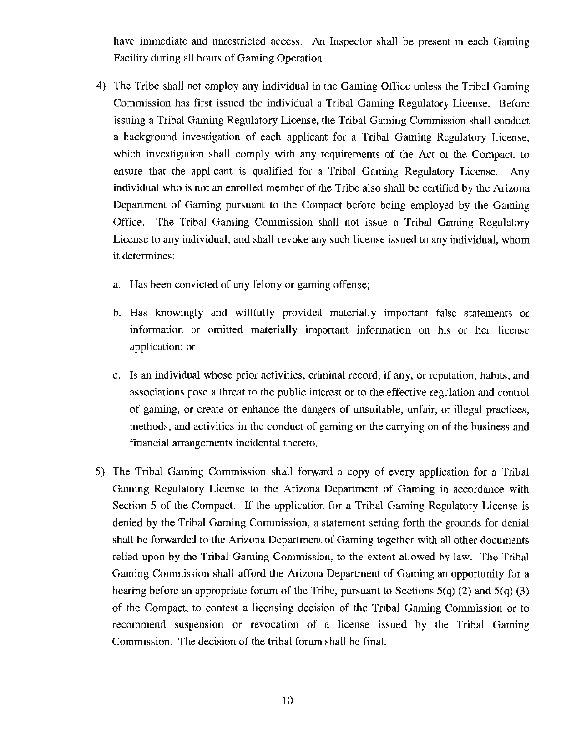have immediate and unrestricted access. An Inspector shall be present in each Gaming Facility during all hours of Gaming Operation.

- 4) The Tribe shall not employ any individual in the Gaming Office unless the Tribal Gaming Commission has first issued the individual a Tribal Gaming Regulatory License. Before issuing a Tribal Gaming Regulatory License, the Tribal Gaming Commission shall conduct a background investigation of each applicant for a Tribal Gaming Regulatory License, which investigation shall comply with any requirements of the Act or the Compact, to ensure that the applicant is qualified for a Tribal Gaming Regulatory License. Any individual who is not an enrolled member of the Tribe also shall be certified by the Arizona Department of Gaming pursuant to the Compact before being employed by the Gaming Office. The Tribal Gaming Commission shall not issue a Tribal Gaming Regulatory License to any individual, and shall revoke any such license issued to any individual, whom it determines:
	- a. Has been convicted of any felony or gaming offense;
	- b. Has knowingly and willfully provided materially important false statements or information or omitted materially important information on his or her license application; or
	- c. Is an individual whose prior activities, criminal record, if any, or reputation, habits, and associations pose a threat to the public interest or to the effective regulation and control of gaming, or create or enhance the dangers of unsuitable, unfair, or illegal practices, methods, and activities in the conduct of gaming or the carrying on of the business and financial arrangements incidental thereto.
- 5) The Tribal Gaming Commission shall forward a copy of every application for a Tribal Gaming Regulatory License to the Arizona Department of Gaming in accordance with Section 5 of the Compact. If the application for a Tribal Gaming Regulatory License is denied by the Tribal Gaming Commission, a statement setting forth the grounds for denial shall be forwarded to the Arizona Department of Gaming together with all other documents relied upon by the Tribal Gaming Commission, to the extent allowed by law. The Tribal Gaming Commission shall afford the Arizona Department of Gaming an opportunity for a hearing before an appropriate forum of the Tribe, pursuant to Sections  $5(q)$  (2) and  $5(q)$  (3) of the Compact, to contest a licensing decision of the Tribal Gaming Commission or to recommend suspension or revocation of a license issued by the Tribal Gaming Commission. The decision of the tribal forum shall be final.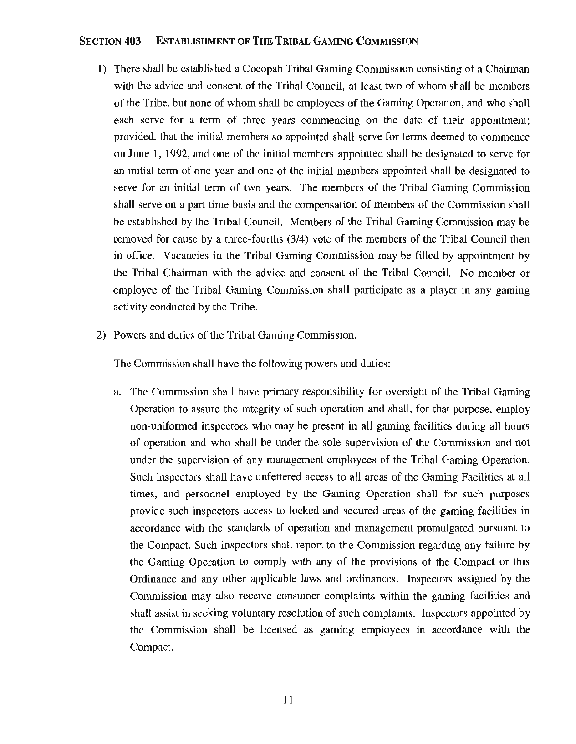#### SECTION **403** ESTABLISHMENT OF THE TRIBAL GAMING COMMISSION

- **1)** There shall be established a Cocopah Tribal Gaming Commission consisting of a Chairman with the advice and consent of the Tribal Council, at least two of whom shall be members of the Tribe, but none of whom shall be employees of the Gaming Operation, and who shall each serve for a term of three years commencing on the date of their appointment; provided, that the initial members so appointed shall serve for terms deemed to commence on June 1, 1992, and one of the initial members appointed shall be designated to serve for an initial term of one year and one of the initial members appointed shall be designated to serve for an initial term of two years. The members of the Tribal Gaming Commission shall serve on a part time basis and the compensation of members of the Commission shall be established by the Tribal Council. Members of the Tribal Gaming Commission may be removed for cause by a three-fourths (3/4) vote of the members of the Tribal Council then in office. Vacancies in the Tribal Gaming Commission may be filled by appointment by the Tribal Chairman with the advice and consent of the Tribal Council. No member or employee of the Tribal Gaming Commission shall participate as a player in any gaming activity conducted by the Tribe.
- 2) Powers and duties of the Tribal Gaming Commission.

The Commission shall have the following powers and duties:

a. The Commission shall have primary responsibility for oversight of the Tribal Gaming Operation to assure the integrity of such operation and shall, for that purpose, employ non-uniformed inspectors who may be present in all gaming facilities during all hours of operation and who shall be under the sole supervision of the Commission and not under the supervision of any management employees of the Tribal Gaming Operation. Such inspectors shall have unfettered access to all areas of the Gaming Facilities at all times, and personnel employed by the Gaming Operation shall for such purposes provide such inspectors access to locked and secured areas of the gaming facilities in accordance with the standards of operation and management promulgated pursuant to the Compact. Such inspectors shall report to the Commission regarding any failure by the Gaming Operation to comply with any of the provisions of the Compact or this Ordinance and any other applicable laws and ordinances. Inspectors assigned by the Commission may also receive consumer complaints within the gaming facilities and shall assist in seeking voluntary resolution of such complaints. Inspectors appointed by the Commission shall be licensed as gaming employees in accordance with the Compact.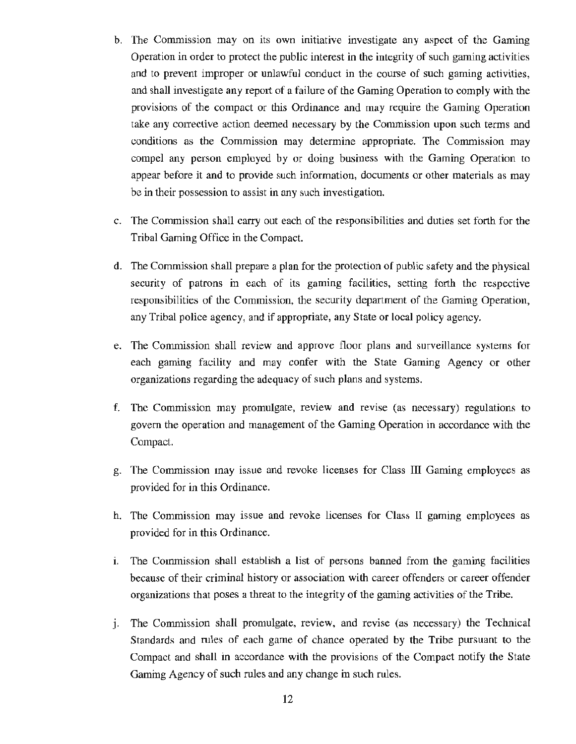- b. The Commission may on its own initiative investigate any aspect of the Gaming Operation in order to protect the public interest in the integrity of such gaming activities and to prevent improper or unlawful conduct in the course of such gaming activities, and shall investigate any report of a failure of the Gaming Operation to comply with the provisions of the compact or this Ordinance and may require the Gaming Operation take any corrective action deemed necessary by the Commission upon such terms and conditions as the Commission may determine appropriate. The Commission may compel any person employed by or doing business with the Gaming Operation to appear before it and to provide such information, documents or other materials as may be in their possession to assist in any such investigation.
- c. The Commission shall carry out each of the responsibilities and duties set forth for the Tribal Gaming Office in the Compact.
- d. The Commission shall prepare a plan for the protection of public safety and the physical security of patrons in each of its gaming facilities, setting forth the respective responsibilities of the Commission, the security department of the Gaming Operation, any Tribal police agency, and if appropriate, any State or local policy agency.
- e. The Commission shall review and approve floor plans and surveillance systems for each gaming facility and may confer with the State Gaming Agency or other organizations regarding the adequacy of such plans and systems.
- f. The Commission may promulgate, review and revise (as necessary) regulations to govern the operation and management of the Gaming Operation in accordance with the Compact.
- g. The. Commission may issue and revoke licenses for Class III Gaming employees as provided for in this Ordinance.
- h. The Commission may issue and revoke licenses for Class lI gaming employees as provided for in this Ordinance.
- 1. The Commission shall establish a list of persons banned from the gaming facilities because of their criminal history or association with career offenders or career offender organizations that poses a threat to the integrity of the gaming activities of the Tribe.
- j. The Commission shall promulgate, review, and revise (as necessary) the Technical Standards and rules of each game of chance operated by the Tribe pursuant to the Compact and shall in accordance with the provisions of the Compact notify the State Gaming Agency of such rules and any change in such rules.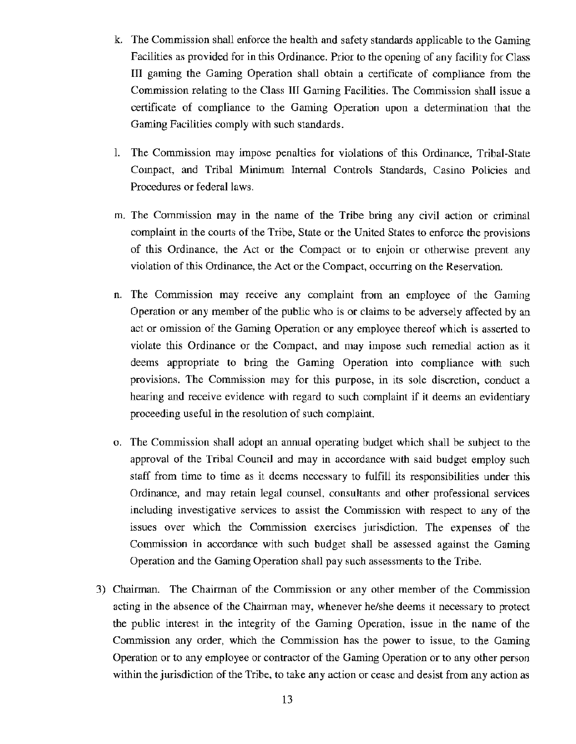- k. The Commission shall enforce the health and safety standards applicable to the Gaming Facilities as provided for in this Ordinance. Prior to the opening of any facility for Class III gaming the Gaming Operation shall obtain a certificate of compliance from the Commission relating to the Class Ill Gaming Facilities. The Commission shall issue a certificate of compliance to the Gaming Operation upon a determination that the Gaming Facilities comply with such standards.
- 1. The Commission may impose penalties for violations of this Ordinance, Tribal-State Compact, and Tribal Minimum Internal Controls Standards, Casino Policies and Procedures or federal laws.
- m. The Commission may in the name of the Tribe bring any civil action or criminal complaint in the courts of the Tribe, State or the United States to enforce the provisions of this Ordinance, the Act or the Compact or to enjoin or otherwise prevent any violation of this Ordinance, the Act or the Compact, occurring on the Reservation.
- n. The Commission may receive any complaint from an employee of the Gaming Operation or any member of the public who is or claims to be adversely affected by an act or omission of the Gaming Operation or any employee thereof which is asserted to violate this Ordinance or the Compact, and may impose such remedial action as it deems appropriate to bring the Gaming Operation into compliance with such provisions. The Commission may for this purpose, in its sole discretion, conduct a hearing and receive evidence with regard to such complaint if it deems an evidentiary proceeding useful in the resolution of such complaint.
- o. The Commission shall adopt an annual operating budget which shall be subject to the approval of the Tribal Council and may in accordance with said budget employ such staff from time to time as it deems necessary to fulfill its responsibilities under this Ordinance, and may retain legal counsel, consultants and other professional services including investigative services to assist the Commission with respect to any of the issues over which the Commission exercises jurisdiction. The expenses of the Commission in accordance with such budget shall be assessed against the Gaming Operation and the Gaming Operation shall pay such assessments to the Tribe.
- 3) Chairman. The Chairman of the Commission or any other member of the Commission acting in the absence of the Chairman may, whenever he/she deems it necessary to protect the public interest in the integrity of the Gaming Operation, issue in the name of the Commission any order, which the Commission has the power to issue, to the Gaming Operation or to any employee or contractor of the Gaming Operation or to any other person within the jurisdiction of the Tribe, to take any action or cease and desist from any action as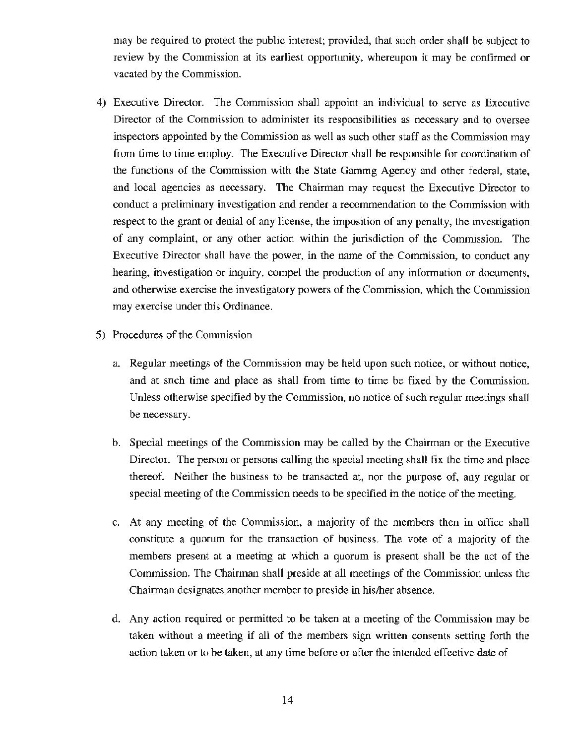may be required to protect the public interest; provided, that such order shall be subject to review by the Commission at its earliest opportunity, whereupon it may be confirmed or vacated by the Commission.

- 4) Executive Director. The Commission shall appoint an individual to serve as Executive Director of the Commission to administer its responsibilities as necessary and to oversee inspectors appointed by the Commission as well as such other staff as the Commission may from time to time employ. The Executive Director shall be responsible for coordination of the functions of the Commission with the State Gaming Agency and other federal, state, and local agencies as necessary. The Chairman may request the Executive Director to conduct a preliminary investigation and render a recommendation to the Commission with respect to the grant or denial of any license, the imposition of any penalty, the investigation of any complaint, or any other action within the jurisdiction of the Commission. The Executive Director shall have the power, in the name of the Commission, to conduct any hearing, investigation or inquiry, compel the production of any information or documents, and otherwise exercise the investigatory powers of the Commission, which the Commission may exercise under this Ordinance.
- 5) Procedures of the Commission
	- a. Regular meetings of the Commission may be held upon such notice, or without notice, and at snch time and place as shall from time to time be fixed by the Commission. Unless otherwise specified by the Commission, no notice of such regular meetings shall be necessary.
	- b. Special meetings of the Commission may be called by the Chairman or the Executive Director. The person or persons calling the special meeting shall fix the time and place thereof. Neither the business to be transacted at, nor the purpose of, any regular or special meeting of the Commission needs to be specified in the notice of the meeting.
	- c. At any meeting of the Commission, a majority of the members then in office shall constitute a quorum for the transaction of business. The vote of a majority of the members present at a meeting at which a quorum is present shall be the act of the Commission. The Chairman shall preside at all meetings of the Commission unless the Chairman designates another member to preside in his/her absence.
	- d. Any action required or permitted to be taken at a meeting of the Commission may be taken without a meeting if all of the members sign written consents setting forth the action taken or to be taken, at any time before or after the intended effective date of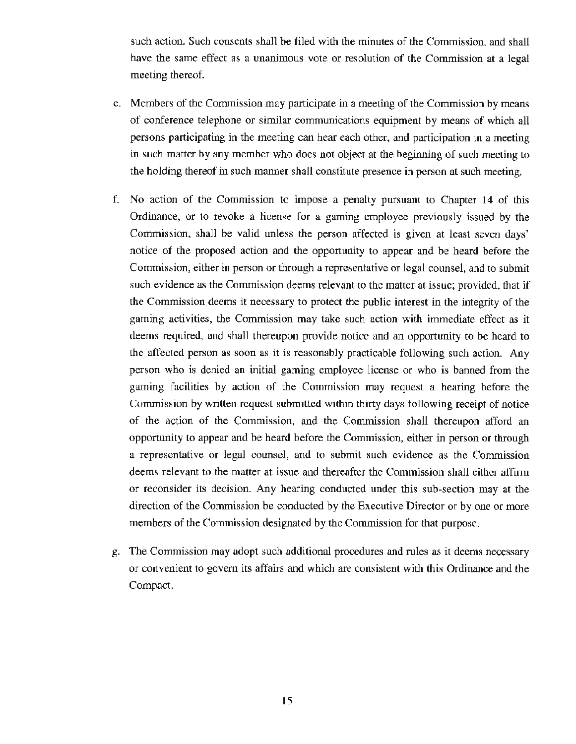such action. Such consents shall be filed with the minutes of the Commission, and shall have the same effect as a unanimous vote or resolution of the Commission at a legal meeting thereof.

- e. Members of the Commission may participate in a meeting of the Commission by means of conference telephone or similar communications equipment by means of which all persons participating in the meeting can hear each other, and participation in a meeting in such matter by any member who does not object at the beginning of such meeting to the holding thereof in such manner shall constitute presence in person at such meeting.
- f. No action of the Commission to impose a penalty pursuant to Chapter 14 of this Ordinance, or to revoke a license for a gaming employee previously issued by the Commission, shall be valid unless the person affected is given at least seven days' notice of the proposed action and the opportunity to appear and be heard before the Commission, either in person or through a representative or legal counsel, and to submit such evidence as the Commission deems relevant to the matter at issue; provided, that if the Commission deems it necessary to protect the public interest in the integrity of the gaming activities, the Commission may take such action with immediate effect as it deems required, and shall thereupon provide notice and an opportunity to be heard to the affected person as soon as it is reasonably practicable following such action. Any person who is denied an initial gaming employee license or who is banned from the gaming facilities by action of the Commission may request a hearing before the Commission by written request submitted within thirty days following receipt of notice of the action of the Commission, and the Commission shall thereupon afford an opportunity to appear and be heard before the Commission, either in person or through a representative or legal counsel, and to submit such evidence as the Commission deems relevant to the matter at issue and thereafter the Commission shall either affirm or reconsider its decision. Any hearing conducted under this sub-section may at the direction of the Commission be conducted by the Executive Director or by one or more members of the Commission designated by the Commission for that purpose.
- g. The Commission may adopt such additional procedures and rules as it deems necessary or convenient to govern its affairs and which are consistent with this Ordinance and the Compact.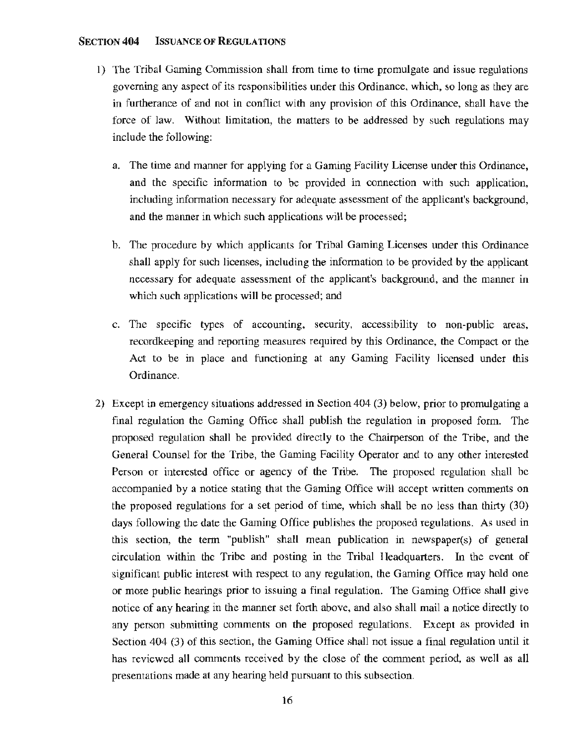#### SECTION **404** ISSUANCE OF REGULATIONS

- 1) The Tribal Gaming Commission shall from time to time promulgate and issue regulations goveming any aspect of its responsibilities under this Ordinance, which, so long as they are in furtherance of and not in conflict with any provision of this Ordinance, shall have the force of law. Without limitation, the matters to be addressed by such regulations may include the following:
	- a. The time and manner for applying for a Gaming Facility License under this Ordinance, and the specific information to be provided in connection with such application, including information necessary for adequate assessment of the applicant's background, and the manner in which such applications will be processed;
	- b. The procedure by which applicants for Tribal Gaming Licenses under this Ordinance shall apply for such licenses, including the information to be provided by the applicant necessary for adequate assessment of the applicant's background, and the manner in which such applications will be processed; and
	- c. The specific types of accounting, security, accessibility to non-public areas, recordkeeping and reporting measures required by this Ordinance, the Compact or the Act to be in place and functioning at any Gaming Facility licensed under this Ordinance.
- 2) Except in emergency situations addressed in Section 404 (3) below, prior to promulgating a final regulation the Gaming Office shall publish the regulation in proposed form. The proposed regulation shall be provided directly to the Chairperson of the Tribe, and the General Counsel for the Tribe, the Gaming Facility Operator and to any other interested Person or interested office or agency of the Tribe. The proposed regulation shall be accompanied by a notice stating that the Gaming Office will accept written comments on the proposed regulations for a set period of time, which shall be no less than thirty (30) days following the date the Gaming Office publishes the proposed regulations. As used in this section, the term "publish" shall mean publication in newspaper(s) of general circulation within the Tribe and posting in the Tribal I Ieadquarters. In the event of significant public interest with respect to any regulation, the Gaming Office may hold one or more public hearings prior to issuing a final regulation. The Gaming Office shall give notice of any hearing in the manner set forth above, and also shall mail a notice directly to any person submitting comments on the proposed regulations. Except as provided in Section 404 (3) of this section, the Gaming Office shall not issue a final regulation until it has reviewed all comments received by the close of the comment period, as well as all presentations made at any hearing held pursuant to this subsection.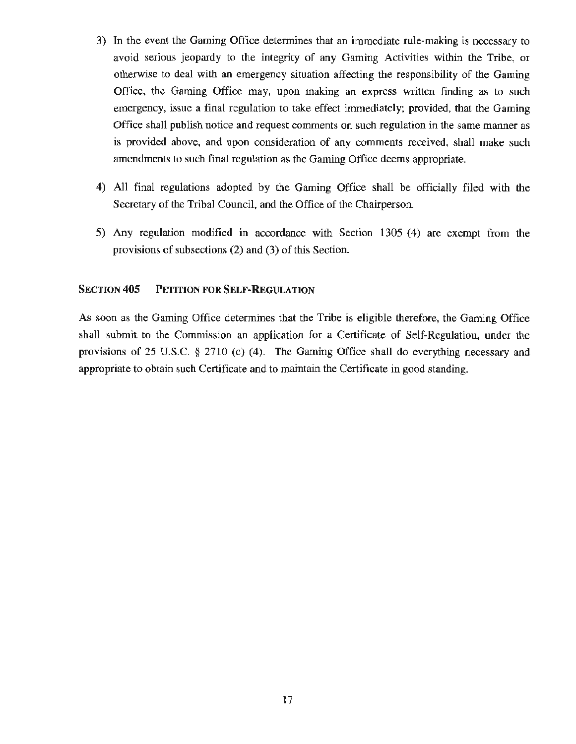- 3) In the event the Gaming Office determines that an immediate rule-making is necessary to avoid serious jeopardy to the integrity of any Gaming Activities within the Tribe, or otherwise to deal with an emergency situation affecting the responsibility of the Gaming Office, the Gaming Office may, upon making an express written finding as to such emergency, issue a final regulation to take effect immediately; provided, that the Gaming Office shall publish notice and request comments on such regulation in the same manner as is provided above, and upon consideration of any comments received, shall make such amendments to such final regulation as the Gaming Office deems appropriate.
- 4) All final regulations adopted by the Gaming Office shall be officially filed with the Secretary of the Tribal Council, and the Office of the Chairperson.
- 5) Any regulation modified in accordance with Section 1305 (4) are exempt from the provisions of subsections (2) and (3) of this Section.

# SECTION 405 PETITION FOR SELF-REGULATION

As soon as the Gaming Office determines that the Tribe is eligible therefore, the Gaming Office shall submit to the Commission an application for a Certificate of Self-Regulatiou, under the provisions of 25 U.S.C. § 2710 (c) (4). The Gaming Office shall do everything necessary and appropriate to obtain such Certificate and to maintain the Certificate in good standing.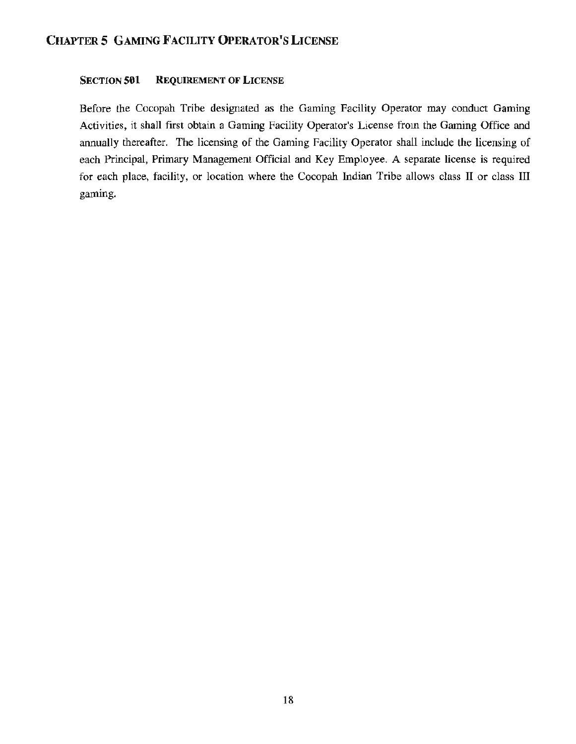# SECTION 501 REQUIREMENT OF LICENSE

Before the Cocopah Tribe designated as the Gaming Facility Operator may conduct Gaming Activities, it shall first obtain a Gaming Facility Operator's License from the Gaming Office and annually thereafter. The licensing of the Gaming Facility Operator shall include the licensing of each Principal, Primary Management Official and Key Employee. A separate license is required for each place, facility, or location where the Cocopah Indian Tribe allows class II or class III gaming.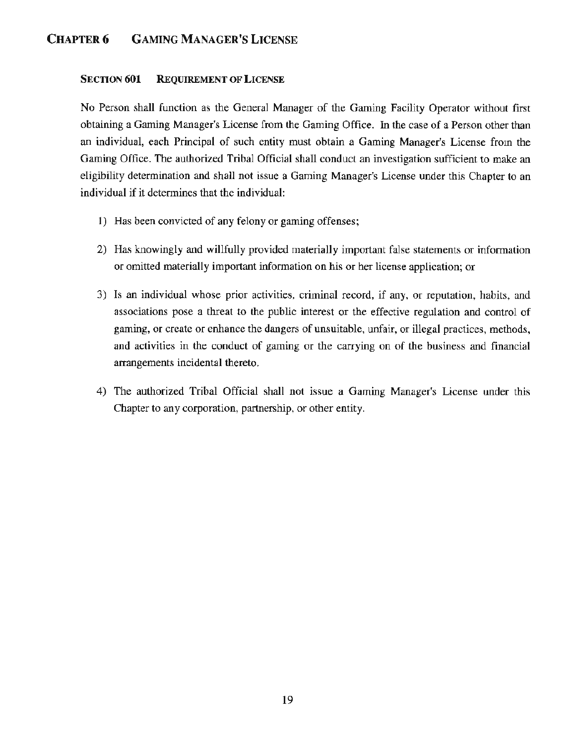# CHAPTER 6 GAMING MANAGER'S LICENSE

## SECTION 601 REQUIREMENT OF LICENSE

No Person shall function as the General Manager of the Gaming Facility Operator without first obtaining a Gaming Manager's License from the Gaming Office. In the case of a Person other than an individual, each Principal of such entity must obtain a Gaming Manager's License from the Gaming Office. The authorized Tribal Official shall conduct an investigation sufficient to make an eligibility determination and shall not issue a Gaming Manager's License under this Chapter to an individual if it determines that the individual:

- 1) Has been convicted of any felony or gaming offenses;
- 2) Has knowingly and willfully provided materially important false statements or information or omitted materially important information on his or her license application; or
- 3) Is an individual whose prior activities, criminal record, if any, or reputation, habits, and associations pose a threat to the public interest or the effective regulation and control of gaming, or create or enhance the dangers of unsuitable, unfair, or illegal practices, methods, and activities in the conduct of gaming or the carrying on of the business and financial arrangements incidental thereto.
- 4) The authorized Tribal Official shall not issue a Gaming Manager's License under this Chapter to any corporation, partnership, or other entity.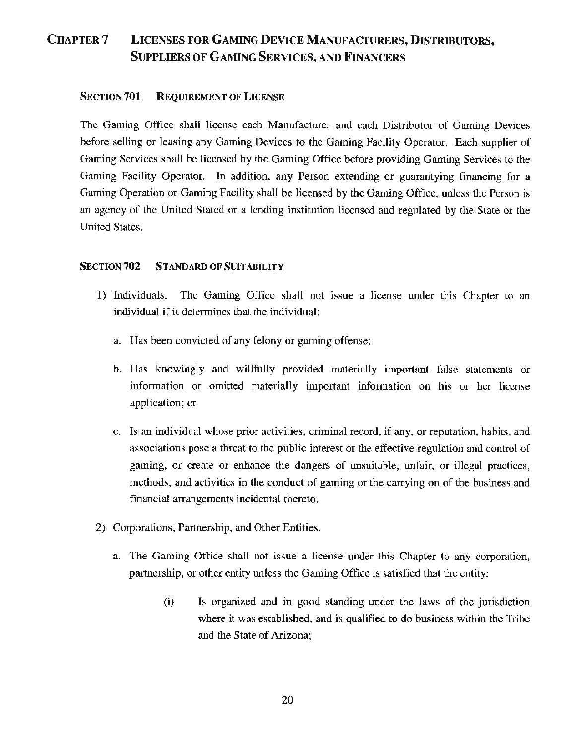# CHAPTER7 LICENSES FOR GAMING DEVICE MANUFACTURERS, DISTRIBUTORS, SUPPLIERS OF GAMING SERVICES, AND FINANCERS

# SECTION 701 REQUIREMENT OF LICENSE

The Gaming Office shall license each Manufacturer and each Distributor of Gaming Devices before selling or leasing any Gaming Devices to the Gaming Facility Operator. Each supplier of Gaming Services shall be licensed by the Gaming Office before providing Gaming Services to the Gaming Facility Operator. In addition, any Person extending or guarantying financing for a Gaming Operation or Gaming Facility shall be licensed by the Gaming Office, unless the Person is an agency of the United Stated or a lending institution licensed and regulated by the State or the United States.

# SECTION 702 STANDARD OF SUITABILITY

- 1) Individuals. The Gaming Office shall not issue a license under this Chapter to an individual if it determines that the individual:
	- a. Has been convicted of any felony or gaming offense;
	- b. Has knowingly and willfully provided materially important false statements or information or omitted materially important information on his or her license application; or
	- c. Is an individual whose prior activities, criminal record, if any, or reputation, habits, and associations pose a threat to the public interest or the effective regulation and control of gaming, or create or enhance the dangers of unsuitable, unfair, or illegal practices, methods, and activities in the conduct of gaming or the carrying on of the business and financial arrangements incidental thereto.
- 2) Corporations, Partnership, and Other Entities.
	- a. The Gaming Office shall not issue a license under this Chapter to any corporation, partnership, or other entity unless the Gaming Office is satisfied that the entity:
		- (i) Is organized and in good standing under the laws of the jurisdiction where it was established, and is qualified to do business within the Tribe and the State of Arizona;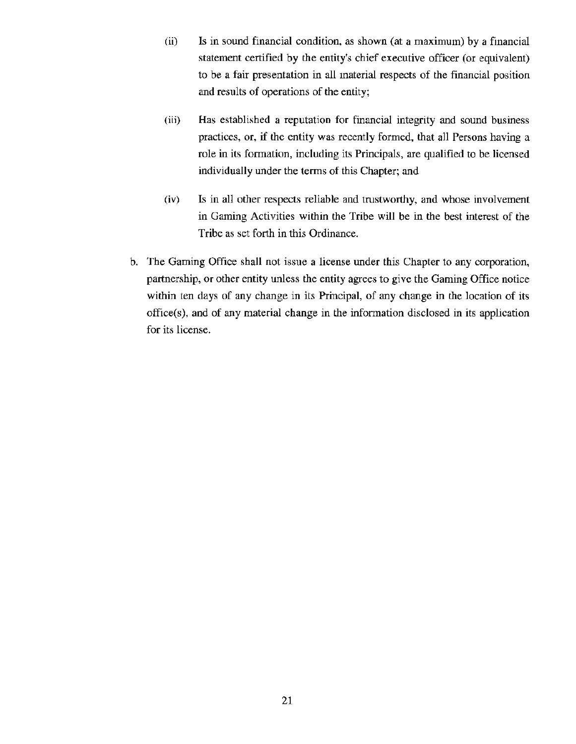- (ii) Is in sound financial condition, as shown (at a maximum) by a financial statement certified by the entity's chief executive officer (or equivalent) to be a fair presentation in all material respects of the financial position and results of operations of the entity;
- (iii) Has established a reputation for financial integrity and sound business practices, or, if the entity was recently formed, that all Persons having a role in its formation, including its Principals, are qualified to be licensed individually under the terms of this Chapter; and
- (iv) Is in all other respects reliable and trustworthy, and whose involvement in Gaming Activities within the Tribe will be in the best interest of the Tribe as set forth in this Ordinance.
- b. The Gaming Office shall not issue a license under this Chapter to any corporation, partnership, or other entity unless the entity agrees to give the Gaming Office notice within ten days of any change in its Principal, of any change in the location of its office(s), and of any material change in the information disclosed in its application for its license.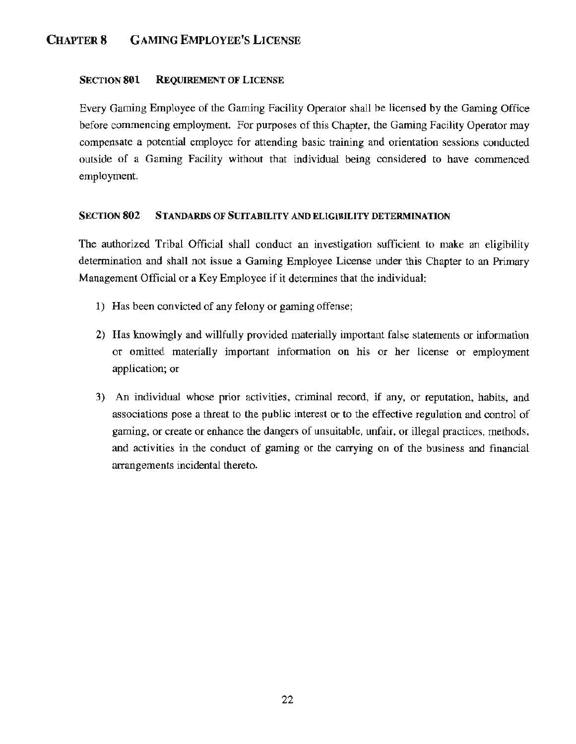# CHAPTER 8 GAMING EMPLOYEE'S LICENSE

## SECTION 801 REQUIREMENT OF LICENSE

Every Gaming Employee of the Gaming Facility Operator shall be licensed by the Gaming Office before commencing employment. For purposes of this Chapter, the Gaming Facility Operator may compensate a potential employee for attending basic training and orientation sessions conducted outside of a Gaming Facility without that individual being considered to have commenced employment.

## SECTION 802 STANDARDS OF SUITABILITY AND ELIGIBILITY DETERMINATION

The authorized Tribal Official shall conduct an investigation sufficient to make an eligibility determination and shall not issue a Gaming Employee License under this Chapter to an Primary Management Official or a Key Employee if it determines that the individual:

- 1) Has been convicted of any felony or gaming offense;
- 2) Has knowingly and willfully provided materially important false statements or information or omitted materially important information on his or her license or employment application; or
- 3) An individual whose prior activities, criminal record, if any, or reputation, habits, and associations pose a threat to the public interest or to the effective regulation and control of gaming, or create or enhance the dangers of unsuitable, unfair, or illegal practices, methods, and activities in the conduct of gaming or the carrying on of the business and financial arrangements incidental thereto.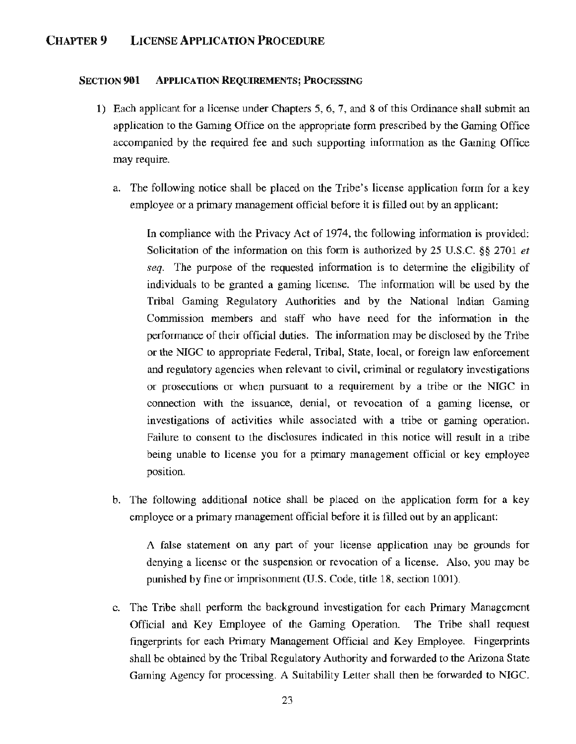# CHAPTER9 LICENSE APPLICATION PROCEDURE

#### SECTION 901 APPLICATION REQUIREMENTS; PROCESSING

- 1) Each applicant for a license under Chapters 5, 6, 7, and 8 of this Ordinance shall submit an application to the Gaming Office on the appropriate form prescribed by the Gaming Office accompanied by the required fee and such supporting information as the Gaming Office may require.
	- a. The following notice shall be placed on the Tribe's license application form for a key employee or a primary management official before it is filled out by an applicant:

In compliance with the Privacy Act of 1974, the following information is provided: Solicitation of the information on this form is authorized by 25 U.S.C. §§ 2701 *et seq.* The purpose of the requested information is to determine the eligibility of individuals to be granted a gaming license. The information will be used by the Tribal Gaming Regulatory Authorities and by the National Indian Gaming Commission members and staff who have need for the information in the performance of their official duties. The information may be disclosed by the Tribe or the NIGC to appropriate Federal, Tribal, State, local, or foreign law enforcement and regulatory agencies when relevant to civil, criminal or regulatory investigations or prosecutions or when pursuant to a requirement by a tribe or the NIGC in connection with the issuance, denial, or revocation of a gaming license, or investigations of activities while associated with a tribe or gaming operation. Failure to consent to the disclosures indicated in this notice will result in a tribe being unable to license you for a primary management official or key employee position.

b. The following additional notice shall be placed on the application form for a key employee or a primary management official before it is filled out by an applicant:

A false statement on any part of your license application may be grounds for denying a license or the suspension or revocation of a license. Also, you may be punished by fine or imprisonment (U.S. Code, title 18, section 1001).

c. The Tribe shall perform the background investigation for each Primary Management Official and Key Employee of the Gaming Operation. The Tribe shall request fingerprints for each Primary Management Official and Key Employee. Fingerprints shall be obtained by the Tribal Regulatory Authority and forwarded to the Arizona State Gaming Agency for processing. A Suitability Letter shall then be forwarded to NIGC.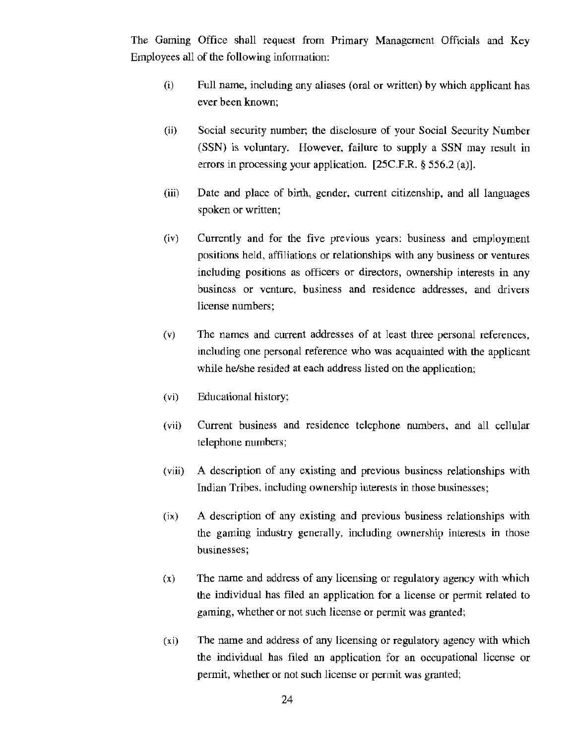The Gaming Office shall request from Primary Management Officials and Key Employees all of the following information:

- (i) Full name, including any aliases (oral or written) by which applicant has ever been known;
- (ii) Social security number; the disclosure of your Social Security Number (SSN) is voluntary. However, failure to supply a SSN may result in errors in processing your application. [25C.F.R. § 556.2 (a)].
- (iii) Date and place of birth, gender, current citizenship, and all languages spoken or written;
- (iv) Currently and for the five previous years: business and employment positions held, affiliations or relationships with any business or ventures including positions as officers or directors, ownership interests in any business or venture, business and residence addresses, and drivers license numbers;
- (v) The names and current addresses of at least three personal references, including one personal reference who was acquainted with the applicant while he/she resided at each address listed on the application;
- (vi) Educational history;
- (vii) Current business and residence telephone numbers, and all cellular telephone numbers;
- (viii) A description of any existing and previous business relationships with Indian Tribes, including ownership iuterests in those businesses;
- (ix) A description of any existing and previous business relationships with the gaming industry generally, including ownership interests in those businesses;
- (x) The name and address of any licensing or regulatory agency with which the individual has filed an application for a license or permit related to gaming, whether or not such license or permit was granted;
- (xi) The name and address of any licensing or regulatory agency with which the individual has filed an application for an occupational license or permit, whether or not such license or permit was granted;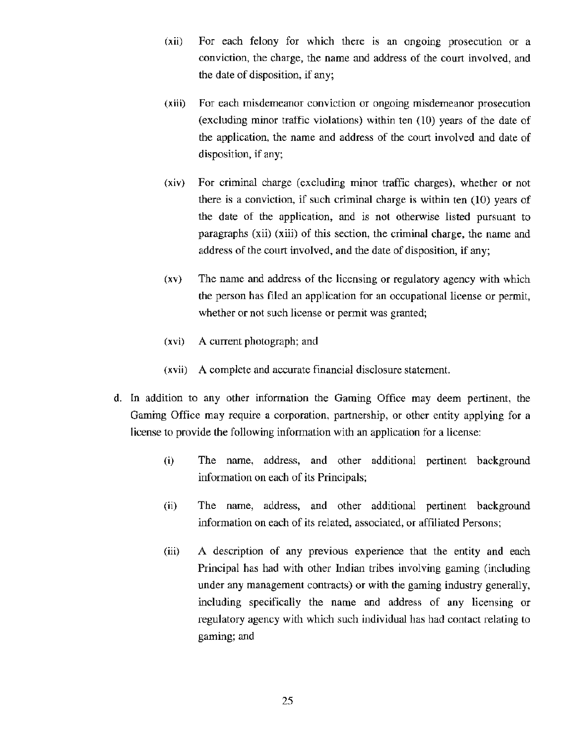- (xii) For each felony for which there is an ongoing prosecution or a conviction, the charge, the name and address of the court involved, and the date of disposition, if any;
- (xiii) For each misdemeanor conviction or ongoing misdemeanor prosecution (excluding minor traffic violations) within ten (10) years of the date of the application, the name and address of the court involved and date of disposition, if any;
- (xiv) For criminal charge (excluding minor traffic charges), whether or not there is a conviction, if such criminal charge is within ten (10) years of the date of the application, and is not otherwise listed pursuant to paragraphs (xii) (xiii) of this section, the criminal charge, the name and address of the court involved, and the date of disposition, if any;
- (xv) The name and address of the licensing or regulatory agency with which the person has filed an application for an occupational license or permit, whether or not such license or permit was granted;
- (xvi) A current photograph; and
- (xvii) A complete and accurate financial disclosure statement.
- d. In addition to any other information the Gaming Office may deem pertinent, the Gaming Office may require a corporation, partnership, or other entity applying for a license to provide the following information with an application for a license:
	- (i) The name, address, and other additional pertinent background information on each of its Principals;
	- (ii) The name, address, and other additional pertinent background information on each of its related, associated, or affiliated Persons;
	- (iii) A description of any previous experience that the entity and each Principal has had with other Indian tribes involving gaming (including under any management contracts) or with the gaming industry generally, including specifically the name and address of any licensing or regulatory agency with which such individual has had contact relating lo gaming; and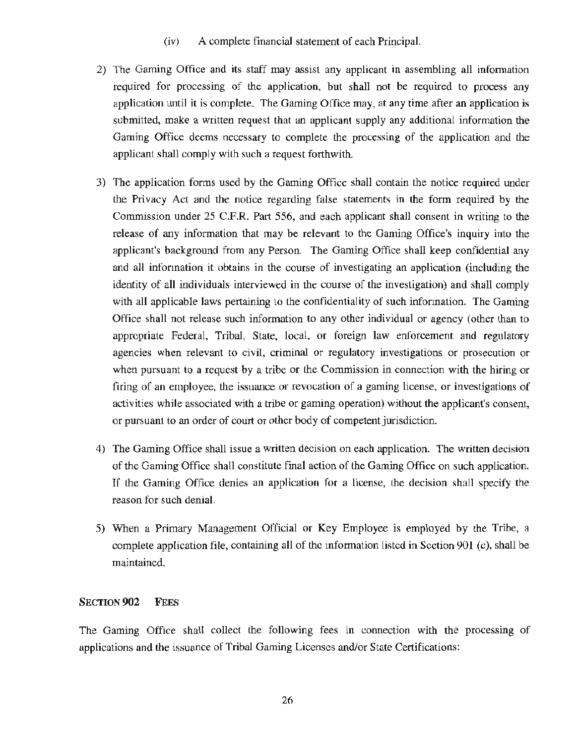- (iv) A complete financial statement of each Principal.
- 2) The Gaming Office and its staff may assist any applicant in assembling all information required for processing of the application, but shall not be required to process any application until it is complete. The Gaming Office may, at any time after an application is submined, make a written request that an applicant supply any additional information the Gaming Office deems necessary to complete the processing of the application and the applicant shall comply with such a request forthwith.
- 3) The application forms used by the Gaming Office shall contain the notice required under the Privacy Act and the notice regarding false statements in the form required by the Commission under 25 C.F.R. Part 556, and each applicant shall consent in writing to the release of any information that may be relevant to the Gaming Office's inquiry into the applicant's background from any Person. The Gaming Office shall keep confidential any and all information it obtains in the course of investigating an application (including the identity of all individuals interviewed in the course of the investigation) and shall comply with all applicable laws pertaining to the confidentiality of such information. The Gaming Office shall not release such information to any other individual or agency (other than to appropriate Federal, Tribal, State, local, or foreign law enforcement and regulatory agencies when relevant to civil, criminal or regulatory investigations or prosecution or when pursuant to a request by a tribe or the Commission in connection with the hiring or firing of an employee, the issuance or revocation of a gaming license, or investigations of activities while associated with a tribe or gaming operation) without the applicant's consent, or pursuant to an order of court or other body of competent jurisdiction.
- 4) The Gaming Office shall issue a written decision on each application. The written decision of the Gaming Office shall constitute final action of the Gaming Office on such application. If the Gaming Office denies an application for a license, the decision shall specify the reason for such denial.
- 5) When a Primary Management Official or Key Employee is employed by the Tribe, a complete application file, containing all of the information listed in Section 901 (c), shall be maintained.

## SECTION **902** FEES

The Gaming Office shall collect the following fees in connection with the processing of applications and the issuance of Tribal Gaming Licenses and/or State Certifications: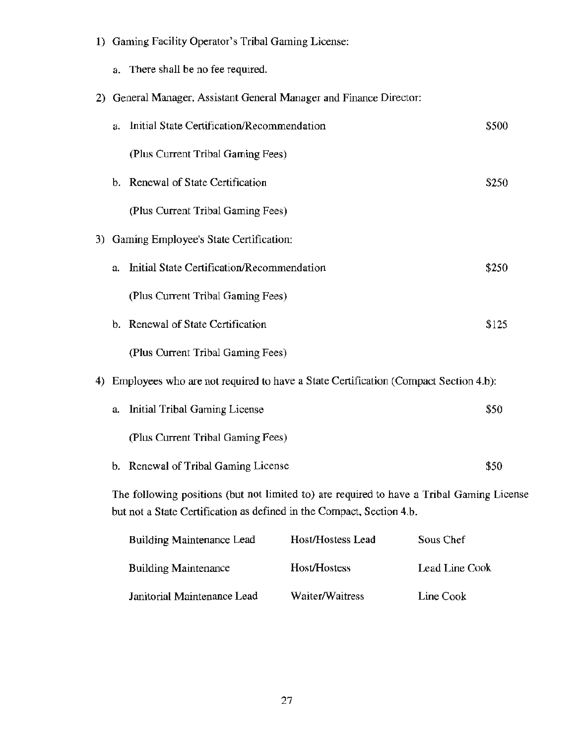|    |                                                                                                                                                                    | 1) Gaming Facility Operator's Tribal Gaming License:                                |       |  |
|----|--------------------------------------------------------------------------------------------------------------------------------------------------------------------|-------------------------------------------------------------------------------------|-------|--|
|    | a.                                                                                                                                                                 | There shall be no fee required.                                                     |       |  |
| 2) |                                                                                                                                                                    | General Manager, Assistant General Manager and Finance Director:                    |       |  |
|    | a.                                                                                                                                                                 | Initial State Certification/Recommendation                                          | \$500 |  |
|    |                                                                                                                                                                    | (Plus Current Tribal Gaming Fees)                                                   |       |  |
|    | b.                                                                                                                                                                 | <b>Renewal of State Certification</b>                                               | \$250 |  |
|    |                                                                                                                                                                    | (Plus Current Tribal Gaming Fees)                                                   |       |  |
| 3) |                                                                                                                                                                    | Gaming Employee's State Certification:                                              |       |  |
|    | a.                                                                                                                                                                 | Initial State Certification/Recommendation                                          | \$250 |  |
|    |                                                                                                                                                                    | (Plus Current Tribal Gaming Fees)                                                   |       |  |
|    | b.                                                                                                                                                                 | Renewal of State Certification                                                      | \$125 |  |
|    |                                                                                                                                                                    | (Plus Current Tribal Gaming Fees)                                                   |       |  |
| 4) |                                                                                                                                                                    | Employees who are not required to have a State Certification (Compact Section 4.b): |       |  |
|    | a.                                                                                                                                                                 | Initial Tribal Gaming License                                                       | \$50  |  |
|    |                                                                                                                                                                    | (Plus Current Tribal Gaming Fees)                                                   |       |  |
|    |                                                                                                                                                                    | b. Renewal of Tribal Gaming License                                                 | \$50  |  |
|    | The following positions (but not limited to) are required to have a Tribal Gaming License<br>but not a State Certification as defined in the Compact, Section 4.b. |                                                                                     |       |  |
|    |                                                                                                                                                                    | Sous Chef<br><b>Host/Hostess Lead</b><br><b>Building Maintenance Lead</b>           |       |  |

| <b>Building Maintenance</b> | Host/Hostess    | Lead Line Cook |
|-----------------------------|-----------------|----------------|
| Janitorial Maintenance Lead | Waiter/Waitress | Line Cook      |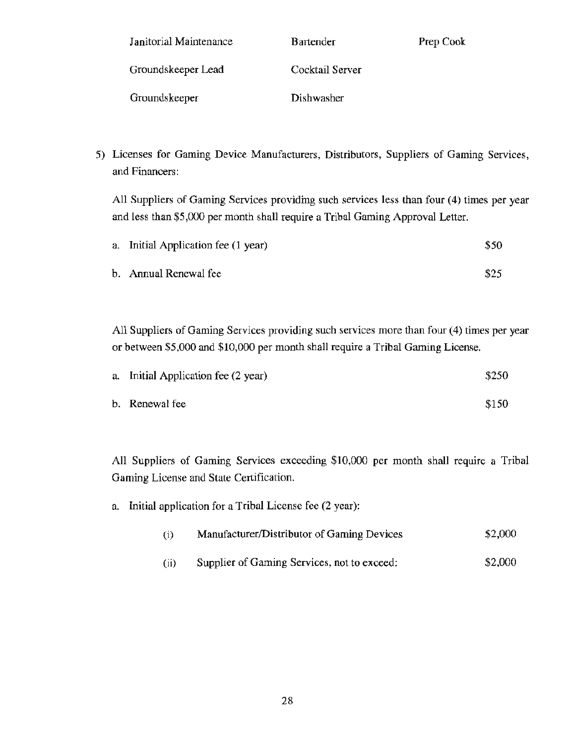| Janitorial Maintenance | <b>Bartender</b> | Prep Cook |
|------------------------|------------------|-----------|
| Groundskeeper Lead     | Cocktail Server  |           |
| Groundskeeper          | Dishwasher       |           |

5) Licenses for Gaming Device Manufacturers, Distributors, Suppliers of Gaming Services, and Financers:

All Suppliers of Gaming Services providing such services less than four (4) times per year and less than \$5,000 per month shall require a Tribal Gaming Approval Letter.

| a. Initial Application fee (1 year) | \$50 |
|-------------------------------------|------|
| b. Annual Renewal fee               | \$25 |

All Suppliers of Gaming Services providing such services more than four (4) times per year or between \$5,000 and \$10,000 per month shall require a Tribal Gaming License.

| a. Initial Application fee (2 year) | \$250 |  |
|-------------------------------------|-------|--|
|                                     |       |  |

b. Renewal fee  $$150$ 

All Suppliers of Gaming Services exceeding \$10,000 per month shall require a Tribal Gaming License and State Certification.

a. Initial application for a Tribal License fee (2 year):

| (i) | Manufacturer/Distributor of Gaming Devices | \$2,000 |
|-----|--------------------------------------------|---------|
|-----|--------------------------------------------|---------|

(ii) Supplier of Gaming Services, not to exceed: \$2,000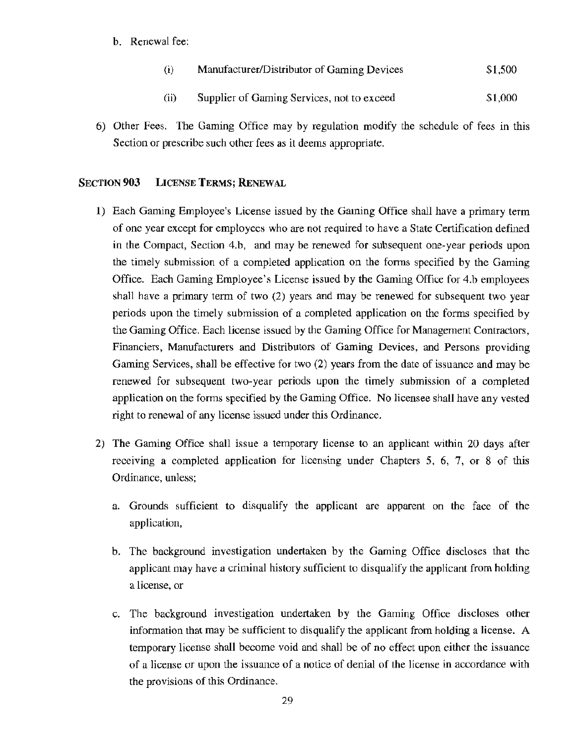b. Renewal fee:

| $\bf(i)$ | Manufacturer/Distributor of Gaming Devices | \$1,500 |
|----------|--------------------------------------------|---------|
|----------|--------------------------------------------|---------|

- (ii) Supplier of Gaming Services, not to exceed \$1,000
- 6) Other Fees. The Gaming Office may by regulation modify the schedule of fees in this Section or prescribe such other fees as it deems appropriate.

## SECTION **903** LICENSE TERMS; RENEWAL

- 1) Each Gaming Employee's License issued by the Gaming Office shall have a primary term of one year except for employees who are not required to have a State Certification defined in the Compact, Section 4.b, and may be renewed for subsequent one-year periods upon the timely submission of a completed application on the forms specified by the Gaming Office. Each Gaming Employee's License issued by the Gaming Office for 4.b employees shall have a primary term of two (2) years and may be renewed for subsequent two year periods upon the timely submission of a completed application on the forms specified by the Gaming Office. Each license issued by the Gaming Office for Management Contractors, Financiers, Manufacturers and Distributors of Gaming Devices, and Persons providing Gaming Services, shall be effective for two (2) years from the date of issuance and may be renewed for subsequent two-year periods upon the timely submission of a completed application on the forms specified by the Gaming Office. No licensee shall have any vested right to renewal of any license issued under this Ordinance.
- 2) The Gaming Office shall issue a temporary license to an applicant within 20 days after receiving a completed application for licensing under Chapters 5, 6, 7, or 8 of this Ordinance, unless;
	- a. Grounds sufficient to disqualify the applicant are apparent on the face of the application,
	- b. The background investigation undertaken by the Gaming Office discloses that the applicant may have a criminal history sufficient to disqualify the applicant from holding a license, or
	- c. The background investigation undertaken by the Gaming Office discloses other information that may be sufficient to disqualify the applicant from holding a license. A temporary license shall become void and shall be of no effect upon either the issuance of a license or upon the issuance of a notice of denial of the license in accordance with the provisions of this Ordinance.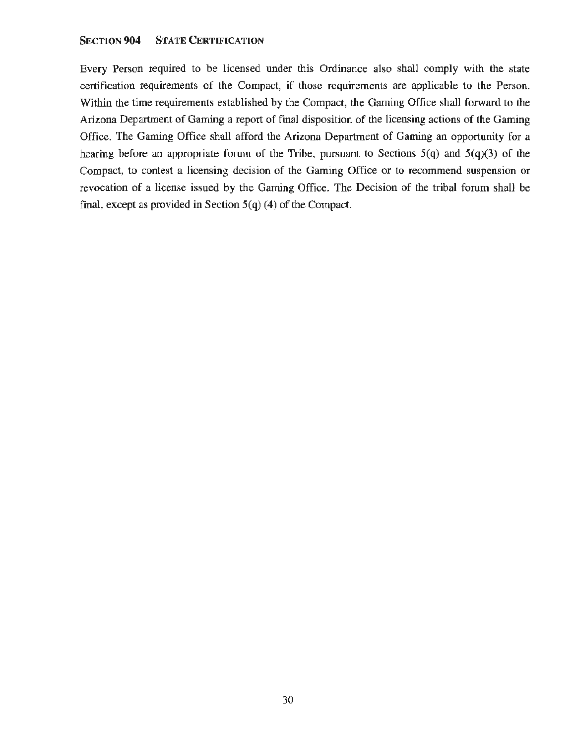#### SECTION **904** STATE CERTIFICATION

Every Person required to be licensed under this Ordinance also shall comply with the state certification requirements of the Compact, if those requirements are applicable to the Person. Within the time requirements established by the Compact, the Gaming Office shall forward to the Arizona Department of Gaming a report of final disposition of the licensing actions of the Gaming Office. The Gaming Office shall afford the Arizona Department of Gaming an opportunity for a hearing before an appropriate forum of the Tribe, pursuant to Sections  $5(q)$  and  $5(q)(3)$  of the Compact, to contest a licensing decision of the Gaming Office or to recommend suspension or revocation of a license issued by the Gaming Office. The Decision of the tribal forum shall be final, except as provided in Section  $5(q)$  (4) of the Compact.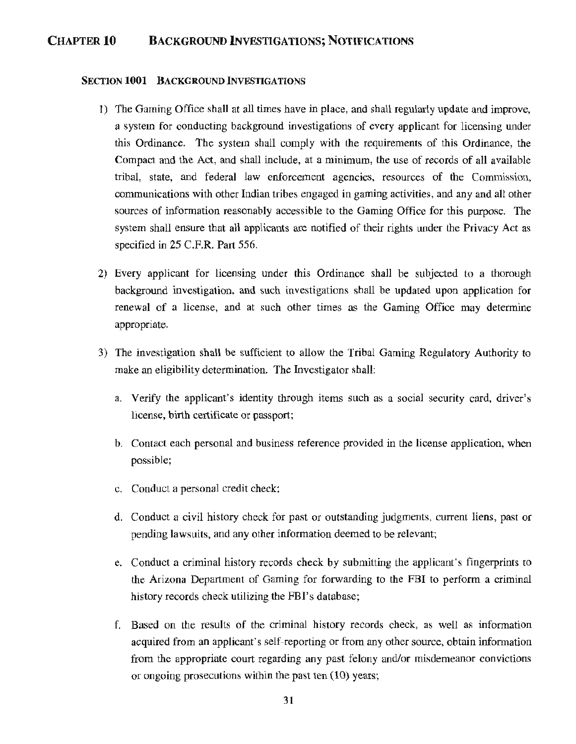# CHAPTER10 BACKGROUND INVESTIGATIONS; NOTIFICATIONS

#### SECTION 1001 BACKGROUND INVESTIGATIONS

- 1) The Gaming Office shall at all times have in place, and shall regularly update and improve, a system for conducting background investigations of every applicant for licensing under this Ordinance. The system shall comply with the requirements of this Ordinance, the Compact and the Act, and shall include, at a minimum, the use of records of all available tribal, state, and federal law enforcement agencies, resources of the Commission, communications with other Indian tribes engaged in gaming activities, and any and all other sources of information reasonably accessible to the Gaming Office for this purpose. The system shall ensure that all applicants are notified of their rights under the Privacy Act as specified in 25 C.F.R. Part 556.
- 2) Every applicant for licensing under this Ordinance shall be subjected to a thorough background investigation, and such investigations shall be updated upon application for renewal of a license, and at such other times as the Gaming Office may determine appropriate.
- 3) The investigation shall be sufficient to allow the Tribal Gaming Regulatory Authority to make an eligibility determination. The Investigator shall:
	- a. Verify the applicant's identity through items such as a social security card, driver's license, birth certificate or passport;
	- b. Contact each personal and business reference provided in the license application, when possible;
	- c. Conduct a personal credit check;
	- d. Conduct a civil history check for past or outstanding judgments, current liens, past or pending lawsuits, and any other information deemed to be relevant;
	- e. Conduct a criminal history records check by submitting the applicant's fingerprints to the Arizona Department of Gaming for forwarding to the FBI to perform a criminal history records check utilizing the FBI's database;
	- f. Based on the results of the criminal history records check, as well as information acquired from an applicant's self-reporting or from any other source, obtain information from the appropriate court regarding any past felony and/or misdemeanor convictions or ongoing prosecutions within the past ten (10) years;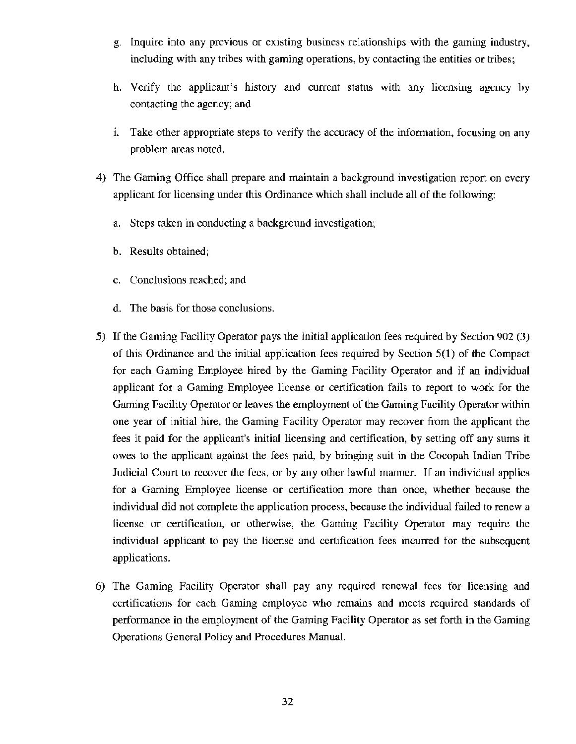- g. Inquire into any previous or existing business relationships with the gaming industry, including with any tribes with gaming operations, by contacting the entities or tribes;
- h. Verify the applicant's history and current status with any licensing agency by contacting the agency; and
- 1. Take other appropriate steps to verify the accuracy of the information, focusing on any problem areas noted.
- 4) The Gaming Office shall prepare and maintain a background investigation report on every applicant for licensing under this Ordinance which shall include all of the following:
	- a. Steps taken in conducting a background investigation;
	- b. Results obtained;
	- c. Conclusions reached; and
	- d. The basis for those conclusions.
- 5) If the Gaming Facility Operator pays the initial application fees required by Section 902 (3) of this Ordinance and the initial application fees required by Section 5(1) of the Compact for each Gaming Employee hired by the Gaming Facility Operator and if an individual applicant for a Gaming Employee license or certification fails to report to work for the Gaming Facility Operator or leaves the employment of the Gaming Facility Operator within one year of initial hire, the Gaming Facility Operator may recover from the applicant the fees it paid for the applicant's initial licensing and certification, by setting off any sums it owes to the applicant against the fees paid, by bringing suit in the Cocopah Indian Tribe Judicial Court to recover the fees, or by any other lawful manner. If an individual applies for a Gaming Employee license or certification more than once, whether because the individual did not complete the application process, because the individual failed to renew a license or certification, or otherwise, the Gaming Facility Operator may require the individual applicant to pay the license and certification fees incurred for the subsequent applications.
- 6) The Gaming Facility Operator shall pay any required renewal fees for licensing and certifications for each Gaming employee who remains and meets required standards of performance in the employment of the Gaming Facility Operator as set forth in the Gaming Operations General Policy and Procedures Manual.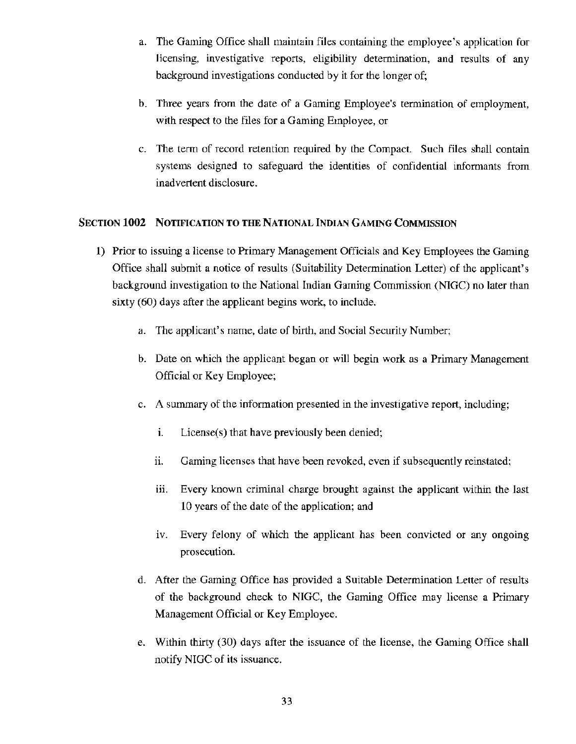- a. The Gaming Office shall maintain files containing the employee's application for licensing, investigative reports, eligibility determination, and results of any background investigations conducted by it for the longer of;
- b. Three years from the date of a Gaming Employee's termination of employment, with respect to the files for a Gaming Employee, or
- c. The term of record retention required by the Compact. Such files shall contain systems designed to safeguard the identities of confidential informants from inadvertent disclosure.

# SECTION **1002** NOTIFICATION TO THE NATIONAL INDIAN GAMING COMMISSION

- **1)** Prior to issuing a license to Primary Management Officials and Key Employees the Gaming Office shall submit a notice of results (Suitability Determination Letter) of the applicant's background investigation to the National Indian Gaming Commission (NIGC) no later than sixty (60) days after the applicant begins work, to include.
	- a. The applicant's name, date of birth, and Social Security Number;
	- b. Date on which the applicant began or will begin work as a Primary Management Official or Key Employee;
	- c. A summary of the information presented in the investigative report, including;
		- i. License(s) that have previously been denied;
		- ii. Gaming licenses that have been revoked, even if subsequently reinstated;
		- iii. Every known criminal charge brought against the applicant within the last 10 years of the date of the application; and
		- iv. Every felony of which the applicant has been convicted or any ongoing prosecution.
	- d. After the Gaming Office has provided a Suitable Determination Letter of results of the background check to NIGC, the Gaming Office may license a Primary Management Official or Key Employee.
	- e. Within thirty (30) days after the issuance of the license, the Gaming Office shall notify NIGC of its issuance.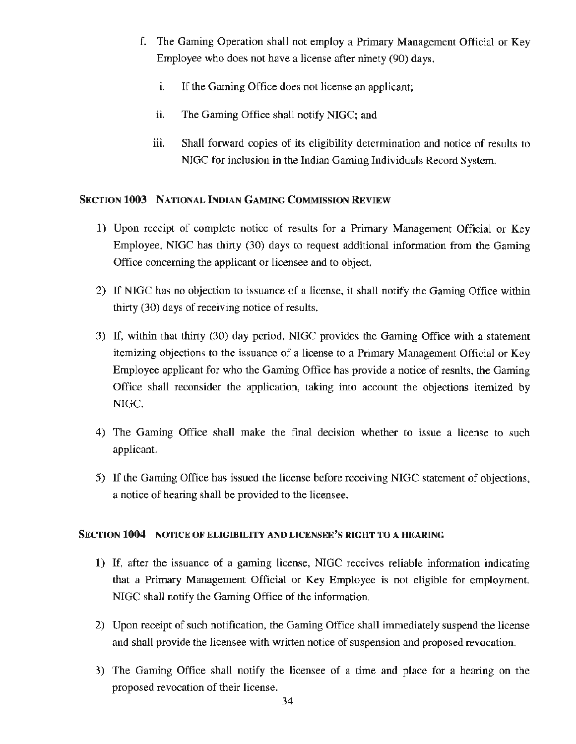- f. The Gaming Operation shall not employ a Primary Management Official or Key Employee who does not have a license after ninety (90) days.
	- i. If the Gaming Office does not license an applicant;
	- ii. The Gaming Office shall notify NIGC; and
	- iii. Shall forward copies of its eligibility determination and notice of results to NIGC for inclusion in the Indian Gaming Individuals Record System.

# SECTION 1003 NATIONAL INDIAN GAMING COMMISSION REVIEW

- 1) Upon receipt of complete notice of results for a Primary Management Official or Key Employee. NIGC has thirty (30) days to request additional information from the Gaming Office concerning the applicant or licensee and to object.
- 2) If NIGC has no objection to issuance of a license. it shall notify the Gaming Office within thirty (30) days of receiving notice of results.
- 3) If. within that thirty (30) day period. NIGC provides the Gaming Office with a statement itemizing objections to the issuance of a license to a Primary Management Official or Key Employee applicant for who the Gaming Office has provide a notice of results, the Gaming Office shall reconsider the application, taking into account the objections itemized by NIGC.
- 4) The Gaming Office shall make the final decision whether to issue a license to such applicant.
- 5) If the Gaming Office has issued the license before receiving NIGC statement of objections, a notice of hearing shall be provided to the licensee.

# SECTION **1004** NOTICE OF ELIGIBILITY AND LICENSEE'S **RIGHT** TO A HEARING

- 1) If, after the issuance of a gaming license, NIGC receives reliable information indicating that a Primary Management Official or Key Employee is not eligible for employment. NIGC shall notify the Gaming Office of the information.
- 2) Upon receipt of such notification. the Gaming Office shall immediately suspend the license and shall provide the licensee with written notice of suspension and proposed revocation.
- 3) The Gaming Office shall notify the licensee of a time and place for a hearing on the proposed revocation of their license.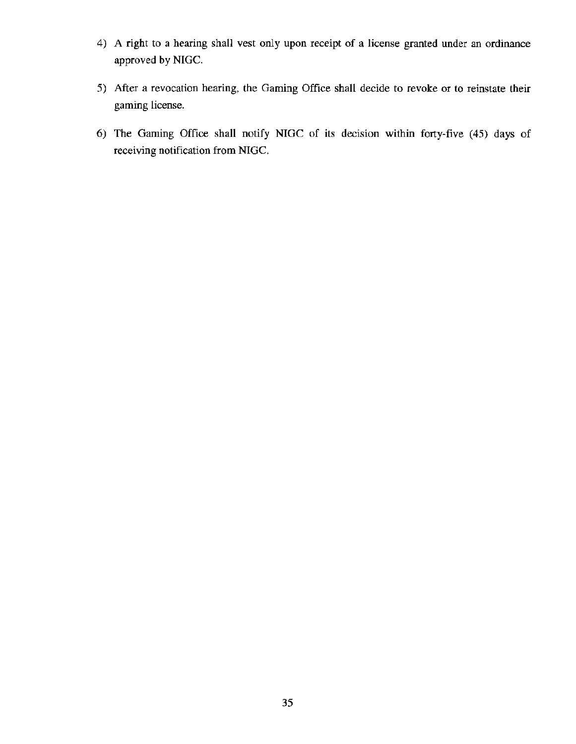- 4) A right to a hearing shall vest only upon receipt of a license granted under an ordinance approved by NIGC.
- 5) After a revocation hearing, the Gaming Office shall decide to revoke or to reinstate their gaming license.
- 6) The Gaming Office shall notify NIGC of its decision within forty-five (45) days of receiving notification from NIGC.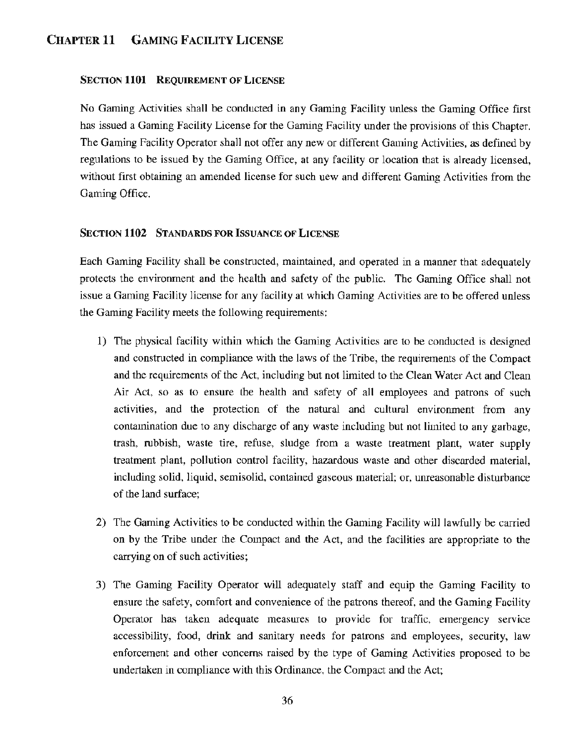# CHAPTER 11 GAMING FACILITY LICENSE

## SECTION 1101 REQUIREMENT OF LICENSE

No Gaming Activities shall be conducted in any Gaming Facility unless the Gaming Office first has issued a Gaming Facility License for the Gaming Facility under the provisions of this Chapter. The Gaming Facility Operator shall not offer any new or different Gaming Activities, as defined by regulations to be issued by the Gaming Office, at any facility or location that is already licensed, without first obtaining an amended license for such new and different Gaming Activities from the Gaming Office.

#### SECTION 1102 STANDARDS FOR ISSUANCE OF LICENSE

Each Gaming Facility shall be constructed, maintained, and operated in a manner that adequately protects the environment and the health and safety of the public. The Gaming Office shall not issue a Gaming Facility license for any facility at which Gaming Activities are to be offered unless the Gaming Facility meets the following requirements:

- 1) The physical facility within which the Gaming Activities are to be conducted is designed and constructed in compliance with the laws of the Tribe, the requirements of the Compact and the requirements of the Act, including but not limited to the Clean Water Act and Clean Air Act, so as to ensure the health and safety of all employees and patrons of such activities, and the protection of the natural and cultural environment from any contamination due to any discharge of any waste including but not limited to any garbage, trash, rubbish, waste tire, refuse, sludge from a waste treatment plant, water supply treatment plant, pollution control facility, hazardous waste and other discarded material, including solid, liquid, semisolid, contained gaseous material; or, unreasonable disturbance of the land surface;
- 2) The Gaming Activities to be conducted within the Gaming Facility will lawfully be carried on by the Tribe under the Compact and the Act, and the facilities are appropriate to the carrying on of such activities;
- 3) The Gaming Facility Operator will adequately staff and equip the Gaming Facility to ensure the safety, comfort and convenience of the patrons thereof, and the Gaming Facility Operator has taken adequate measures to provide for traffic, emergency service accessibility, food, drink and sanitary needs for patrons and employees, security, law enforcement and other concerns raised by the type of Gaming Activities proposed to be undertaken in compliance with this Ordinance, the Compact and the Act;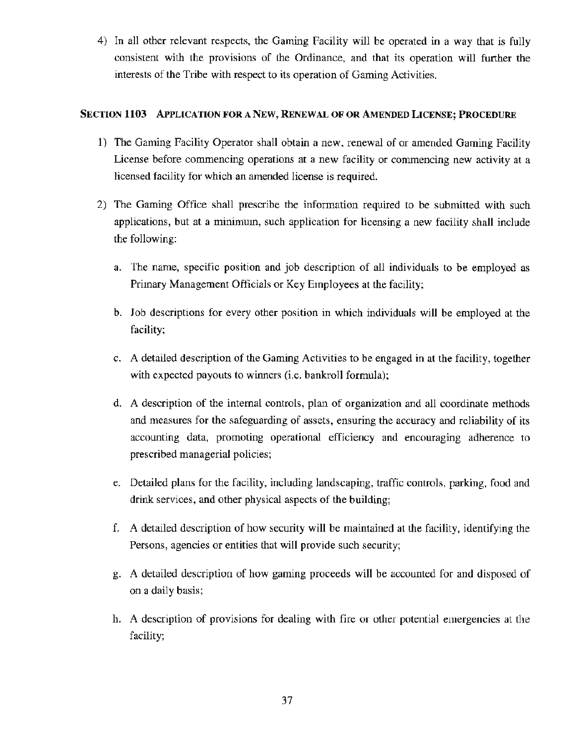4) In all other relevant respects, the Gaming Facility will be operated in a way that is fully consistent with the provisions of the Ordinance, and that its operation will further the interests of the Tribe with respect to its operation of Gaming Activities.

# SECTION 1103 APPLICATION FOR A NEW, RENEWAL OF OR AMENDED LICENSE; PROCEDURE

- 1) The Gaming Facility Operator shall obtain a new, renewal of or amended Gaming Facility License before commencing operations at a new facility or commencing new activity at a licensed facility for which an amended license is required.
- 2) The Gaming Office shall prescribe the information required to be submitted with such applications, but at a minimum, such application for licensing a new facility shall include the following:
	- a. The name, specific position and job description of all individuals to be employed as Primary Management Officials or Key Employees at the facility;
	- b. Job descriptions for every other position in which individuals will be employed at the facility;
	- c. A detailed description of the Gaming Activities to be engaged in at the facility, together with expected payouts to winners (i.e. bankroll formula);
	- d. A description of the internal controls, plan of organization and all coordinate methods and measures for the safeguarding of assets, ensuring the accuracy and reliability of its accounting data, promoting operational efficiency and encouraging adherence to prescribed managerial policies;
	- e. Detailed plans for the facility, including landscaping, traffic controls, parking, food and drink services, and other physical aspects of the building;
	- f. A detailed description of how security will be maintained at the facility, identifying the Persons, agencies or entities that will provide such security;
	- g. A detailed description of how gaming proceeds will be accounted for and disposed of on a daily basis;
	- h. A description of provisions for dealing with fire or other potential emergencies at the facility;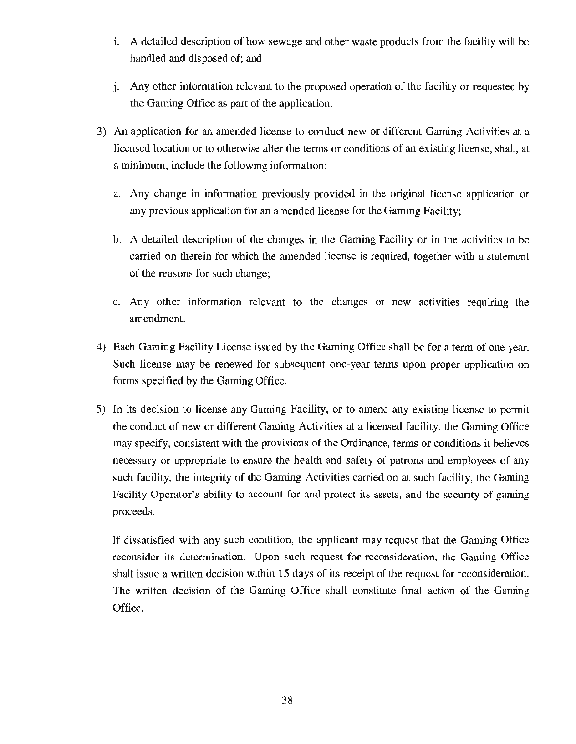- i. A detailed description of how sewage and other waste products from the facility will be handled and disposed of; and
- J. Any other information relevant to the proposed operation of the facility or requested by the Gaming Office as part of the application.
- 3) An application for an amended license to conduct new or different Gaming Activities at a licensed location or to otherwise alter the terms or conditions of an existing license, shall, at a minimum, include the following information:
	- a. Any change in information previously provided in the original license application or any previous application for an amended license for the Gaming Facility;
	- b. A detailed description of the changes in the Gaming Facility or in the activities to be carried on therein for which the amended license is required, together with a statement of the reasons for such change;
	- c. Any other information relevant to the changes or new activities requiring the amendment.
- 4) Each Gaming Facility License issued by the Gaming Office shall be for a term of one year. Such license may be renewed for subsequent one year terms upon proper application on forms specified by the Gaming Office.
- 5) In its decision to license any Gaming Facility, or to amend any existing license to permit the conduct of new or different Gaming Activities at a licensed facility, the Gaming Office may specify, consistent with the provisions of the Ordinance, terms or conditions it believes necessary or appropriate to ensure the health and safety of patrons and employees of any such facility, the integrity of the Gaming Activities carried on at such facility, the Gaming Facility Operator's ability to account for and protect its assets, and the security of gaming proceeds.

If dissatisfied with any such condition, the applicant may request that the Gaming Office reconsider its determination. Upon such request for reconsideration, the Gaming Office shall issue a written decision within 15 days of its receipt of the request for reconsideration. The written decision of the Gaming Office shall constitute final action of the Gaming Office.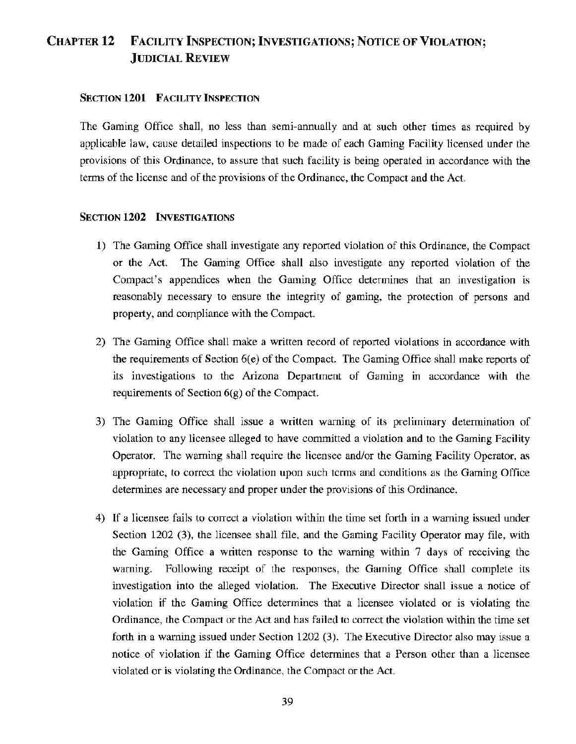# CHAPTER 12 FACILITY INSPECTION; INVESTIGATIONS; NOTICE OF VIOLATION; JUDICIAL REVIEW

#### SECTION 1201 FACILITY INSPECTION

The Gaming Office shall, no less than semi-annually and at such other times as required by applicable law, cause detailed inspections to be made of each Gaming Facility licensed under the provisions of this Ordinance, to assure that such facility is being operated in accordance with the terms of the license and of the provisions of the Ordinance, the Compact and the Act.

#### SECTION 1202 INVESTIGATIONS

- 1) The Gaming Office shall investigate any reported violation of this Ordinance, the Compact or the Act. The Gaming Office shall also investigate any reported violation of the Compact's appendices when the Gaming Office determines that an investigation is reasonably necessary to ensure the integrity of gaming, the protection of persons and property, and compliance with the Compact.
- 2) The Gaming Office shall make a written record of reported violations in accordance with the requirements of Section 6(e) of the Compact. The Gaming Office shall make reports of its investigations to the Arizona Department of Gaming in accordance with the requirements of Section 6(g) of the Compact.
- 3) The Gaming Office shall issue a written warning of its preliminary determination of violation to any licensee alleged to have committed a violation and to the Gaming Facility Operator. The warning shall require the licensee and/or the Gaming Facility Operator, as appropriate, to correct the violation upon such terms and conditions as the Gaming Office determines are necessary and proper under the provisions of this Ordinance.
- 4) If a licensee fails to conect a violation within the time set forth in a warning issued under Section 1202 (3), the licensee shall file, and the Gaming Facility Operator may file, with the Gaming Office a written response to the warning within 7 days of receiving the warning. Following receipt of the responses, the Gaming Office shall complete its investigation into the alleged violation. The Executive Director shall issue a notice of violation if the Gaming Office determines that a licensee violated or is violating the Ordinance, the Compact or the Act and has failed to correct the violation within the time set forth in a warning issued under Section 1202 (3). The Executive Director also may issue a notice of violation if the Gaming Office determines that a Person other than a licensee violated or is violating the Ordinance, the Compact or the Act.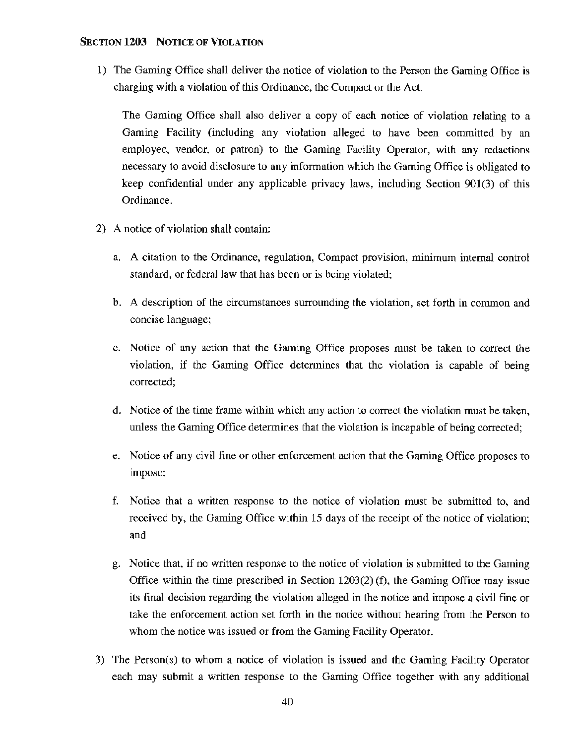# SECTION **1203** NOTICE OF VIOLATION

1) The Gaming Office shall deliver the notice of violation to the Person the Gaming Office is charging with a violation of this Ordinance, the Compact or the Act.

The Gaming Office shall also deliver a copy of each notice of violation relating to a Gaming Facility (including any violation alleged to have been committed by an employee, vendor, or patron) to the Gaming Facility Operator, with any redactions necessary to avoid disclosure to any information which the Gaming Office is obligated to keep confidential under any applicable privacy laws, including Section 901(3) of this Ordinance.

- 2) A notice of violation shall contain:
	- a. A citation to the Ordinance, regulation, Compact provision, minimum internal control standard, or federal law that has been or is being violated;
	- b. A description of the circumstances surrounding the violation, set forth in common and concise language;
	- c. Notice of any action that the Gaming Office proposes must be taken to correct the violation, if the Gaming Office determines that the violation is capable of being corrected;
	- d. Notice of the time frame within which any action to correct the violation must be taken, unless the Gaming Office determines that the violation is incapable of being corrected;
	- e. Notice of any civil fine or other enforcement action that the Gaming Office proposes to impose;
	- f. Notice that a written response to the notice of violation must be submitted to, and received by, the Gaming Office within 15 days of the receipt of the notice of violation; and
	- g. Notice that, if no written response to the notice of violation is submitted to the Gaming Office within the time prescribed in Section 1203(2) (f), the Gaming Office may issue its final decision regarding the violation alleged in the notice and impose a civil fine or take the enforcement action set forth in the notice without hearing from the Person to whom the notice was issued or from the Gaming Facility Operator.
- 3) The Person(s) to whom a notice of violation is issued and the Gaming Facility Operator each may submit a written response to the Gaming Office together with any additional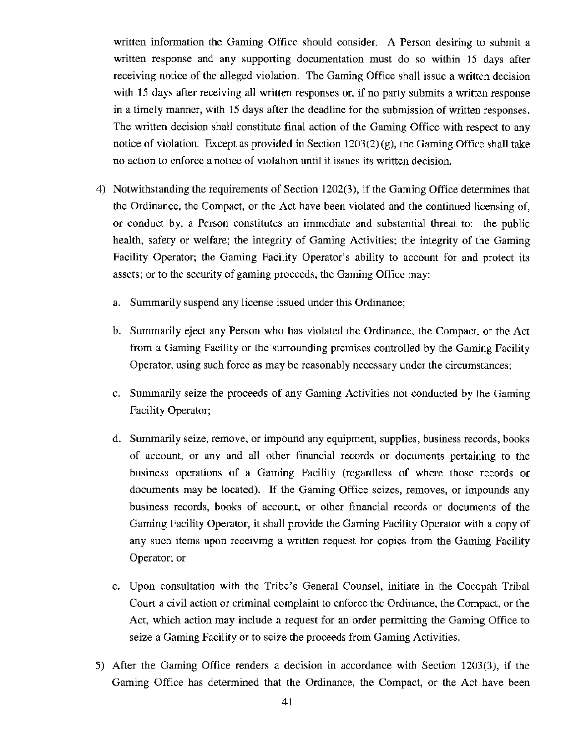written information the Gaming Office should consider. A Person desiring to submit a written response and any supporting documentation must do so within 15 days after receiving notice of the alleged violation. The Gaming Office shall issue a written decision with 15 days after receiving all written responses or, if no party submits a written response in a timely manner, with 15 days after the deadline for the submission of written responses. The written decision shall constitute final action of the Gaming Office with respect to any notice of violation. Except as provided in Section 1203(2) (g), the Gaming Office shall take no action to enforce a notice of violation until it issues its written decision.

- 4) Notwithstanding the requirements of Section 1202(3), if the Gaming Office determines that the Ordinance, the Compact, or the Act have been violated and the continued licensing of, or conduct by, a Person constitutes an immediate and substantial threat to: the public health, safety or welfare; the integrity of Gaming Activities; the integrity of the Gaming Facility Operator; the Gaming Facility Operator's ability to account for and protect its assets; or to the security of gaming proceeds, the Gaming Office may:
	- a. Summarily suspend any license issued under this Ordinance;
	- b. Summarily eject any Person who has violated the Ordinance, the Compact, or the Act from a Gaming Facility or the surrounding premises controlled by the Gaming Facility Operator, using such force as may be reasonably necessary under the circumstances;
	- c. Summarily seize the proceeds of any Gaming Activities not conducted by the Gaming Facility Operator;
	- d. Summarily seize, remove, or impound any equipment, supplies, business records, books of account, or any and all other financial records or documents pertaining to the business operations of a Gaming Facility (regardless of where those records or documents may be located). If the Gaming Office seizes, removes, or impounds any business records, books of account, or other financial records or documents of the Gaming Facility Operator, it shall provide the Gaming Facility Operator with a copy of any such items upon receiving a written request for copies from the Gaming Facility Operator; or
	- e. Upon consultation with the Tribe's General Counsel, initiate in the Cocopah Tribal Court a civil action or criminal complaint to enforce the Ordinance, the Compact, or the Act, which action may include a request for an order permitting the Gaming Office to seize a Gaming Facility or to seize the proceeds from Gaming Activities.
- 5) After the Gaming Office renders a decision in accordance with Section 1203(3), if the Gaming Office has determined that the Ordinance, the Compact, or the Act have been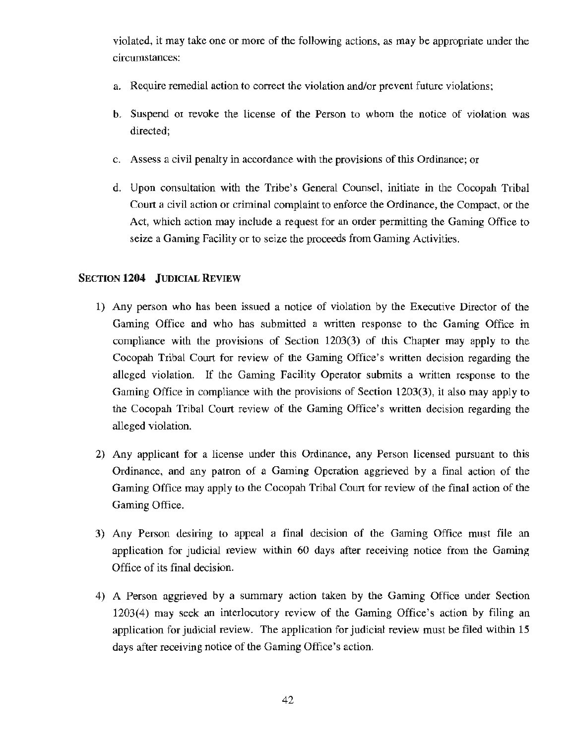violated, it may take one or more of the following actions, as may be appropriate under the circumstances:

- a. Require remedial action to correct the violation and/or prevent future violations;
- b. Suspend or revoke the license of the Person to whom the notice of violation was directed;
- c. Assess a civil penalty in accordance with the provisions of this Ordinance; or
- d. Upon consultation with the Tribe's General Counsel, initiate in the Cocopah Tribal Court a civil action or criminal complaint to enforce the Ordinance, the Compact, or the Act, which action may include a request for an order permitting the Gaming Office to seize a Gaming Facility or to seize the proceeds from Gaming Activities.

#### SECTION **1204** JUDICIAL REVIEW

- 1) Any person who has been issued a notice of violation by the Executive Director of the Gaming Office and who has submitted a written response to the Gaming Office in compliance with the provisions of Section 1203(3) of this Chapter may apply to the Cocopah Tribal Court for review of the Gaming Office's written decision regarding the alleged violation. If the Gaming Facility Operator submits a written response to the Gaming Office in compliance with the provisions of Section 1203(3), it also may apply to the Cocopah Tribal Court review of the Gaming Office's written decision regarding the alleged violation.
- 2) Any applicant for a license under this Ordinance, any Person licensed pursuant to this Ordinance, and any patron of a Gaming Operation aggrieved by a final action of the Gaming Office may apply to the Cocopah Tribal Court for review of the final action of the Gaming Office.
- 3) Any Person desiring to appeal a final decision of the Gaming Office must file an application for judicial review within 60 days after receiving notice from the Gaming Office of its final decision.
- 4) A Person aggrieved by a summary action taken by the Gaming Office under Section 1203(4) may seek an interlocutory review of the Gaming Office's action by filing an application for judicial review. The application for judicial review must be filed within 15 days after receiving notice of the Gaming Office's action.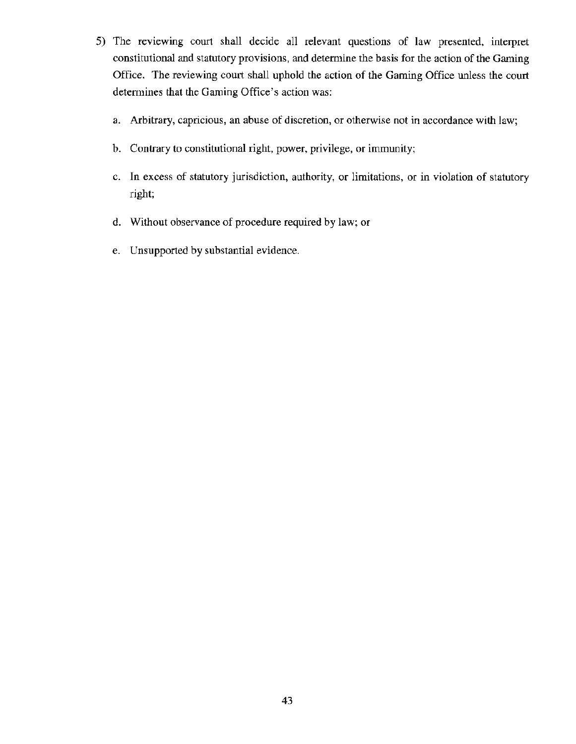- 5) The reviewing cowt shall decide all relevant questions of law presented, interpret constitutional and statutory provisions, and determine the basis for the action of the Gaming Office. The reviewing court shall uphold the action of the Gaming Office unless the court determines that the Gaming Office's action was:
	- a. Arbitrary, capricious, an abuse of discretion, or otherwise not in accordance with law;
	- b. Contrary to constitutional right, power, privilege, or immunity;
	- c. In excess of statutory jurisdiction, authority, or limitations, or in violation of statutory right;
	- d. Without observance of procedure required by law; or
	- e. Unsupported by substantial evidence.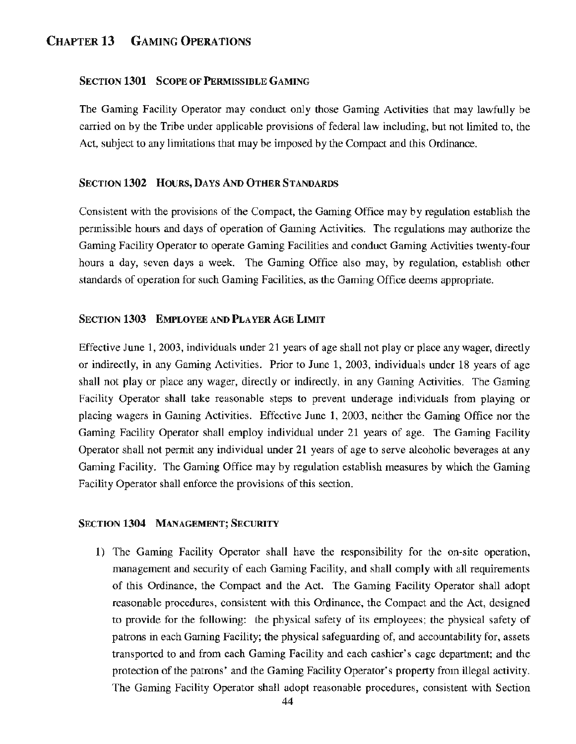# CHAPTER 13 GAMING OPERATIONS

## SECTION 1301 SCOPE OF PERMISSIBLE GAMING

The Gaming Facility Operator may conduct only those Gaming Activities that may lawfully be carried on by the Tribe under applicable provisions of federal law including, but not limited to, the Act, subject to any limitations that may be imposed by the Compact and this Ordinance.

#### SECTION 1302 HOURS, DAYS AND OTHER STANDARDS

Consistent with the provisions of the Compact, the Gaming Office may by regulation establish the permissible hours and days of operation of Gaming Activities. The regulations may authorize the Gaming Facility Operator to operate Gaming Facilities and conduct Gaming Activities twenty-four hours a day, seven days a week. The Gaming Office also may, by regulation, establish other standards of operation for such Gaming Facilities, as the Gaming Office deems appropriate.

#### SECTION 1303 EMPLOYEE AND PLAYER AGE LIMIT

Effective June 1, 2003, individuals under 21 years of age shall not play or place any wager, directly or indirectly, in any Gaming Activities. Prior to June 1, 2003, individuals under 18 years of age shall not play or place any wager, directly or indirectly, in any Gaming Activities. The Gaming Facility Operator shall take reasonable steps to prevent underage individuals from playing or placing wagers in Gaming Activities. Effective June 1, 2003, neither the Gaming Office nor the Gaming Facility Operator shall employ individual under 21 years of age. The Gaming Facility Operator shall not permit any individual under 21 years of age to serve alcoholic beverages at any Gaming Facility. The Gaming Office may by regulation establish measures by which the Gaming Facility Operator shall enforce the provisions of this section.

#### SECTION 1304 MANAGEMENT; SECURITY

1) The Gaming Facility Operator shall have the responsibility for the on-site operation, management and security of each Gaming Facility, and shall comply with all requirements of this Ordinance, the Compact and the Act. The Gaming Facility Operator shall adopt reasonable procedures, consistent with this Ordinance, the Compact and the Act, designed to provide for the following: the physical safety of its employees; the physical safety of patrons in each Gaming Facility; the physical safeguarding of, and accountability for, assets transported to and from each Gaming Facility and each cashier's cage department; and the protection of the patrons' and the Gaming Facility Operator's property from illegal activity. The Gaming Facility Operator shall adopt reasonable procedures, consistent with Section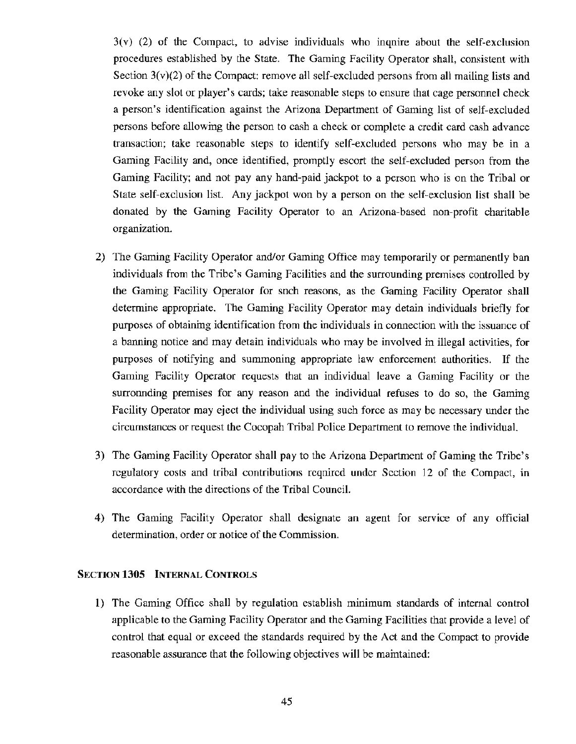3(v) (2) of the Compact, to advise individuals who inquire about the self-exclusion procedures established by the State. The Gaming Facility Operator shalt, consistent with Section 3(v)(2) of the Compact: remove all self-excluded persons from all mailing lists and revoke any slot or player's cards; take reasonable steps to ensure that cage personnel check a person's identification against the Arizona Department of Gaming list of self-excluded persons before allowing the person to cash a check or complete a credit card cash advance transaction; take reasonable steps to identify self-excluded persons who may be in a Gaming Facility and, once identified, promptly escort the self-excluded person from the Gaming Facility; and not pay any hand-paid jackpot to a person who is on the Tribal or State self-exclusion list. Any jackpot won by a person on the self-exclusion list shall be donated by the Gaming Facility Operator to an Arizona-based non-profit charitable organization.

- 2) The Gaming Facility Operator and/or Gaming Office may temporarily or permanently ban individuals from the Tribe's Gaming Facilities and the surrounding premises controlled by the Gaming Facility Operator for such reasons, as the Gaming Facility Operator shall determine appropriate. The Gaming Facility Operator may detain individuals briefly for purposes of obtaining identification from the individuals in connection with the issuance of a banning notice and may detain individuals who may be involved in illegal activities, for purposes of notifying and summoning appropriate law enforcement authorities. If the Gaming Facility Operator requests that an individual leave a Gaming Facility or the surronnding premises for any reason and the individual refuses to do so, the Gaming Facility Operator may eject the individual using such force as may be necessary under the circumstances or request the Cocopah Tribal Police Department to remove the individual.
- 3) The Gaming Facility Operator shall pay to the Arizona Department of Gaming the Tribe's regulatory costs and tribal contributions required under Section 12 of the Compact, in accordance with the directions of the Tribal Council.
- 4) The Gaming Facility Operator shall designate an agent for service of any official determination, order or notice of the Commission.

## SECTION 1305 INTERNAL CONTROLS

1) The Gaming Office shall by regulation establish minimum standards of internal control applicable to the Gaming Facility Operator and the Gaming Facilities that provide a level of control that equal or exceed the standards required by the Act and the Compact to provide reasonable assurance that the following objectives will be maintained: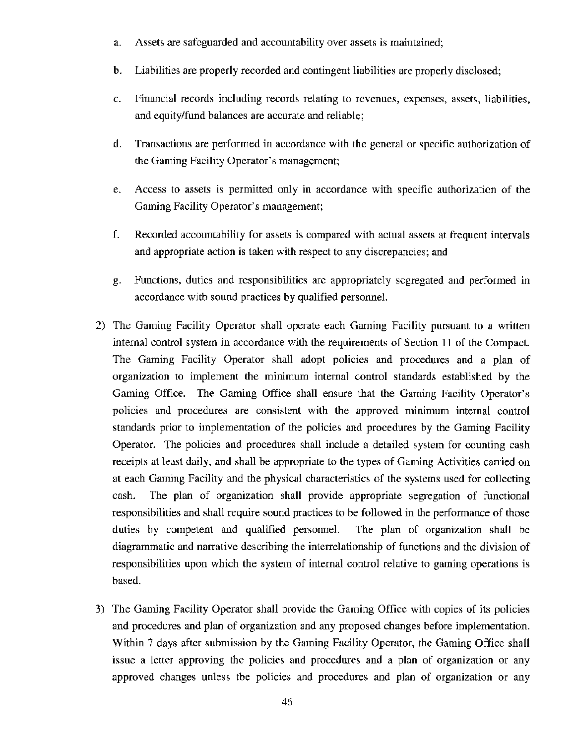- a. Assets are safeguarded and accountability over assets is maintained;
- b. Liabilities are properly recorded and contingent liabilities are properly disclosed;
- c. Financial records including records relating to revenues, expenses, assets, liabilities, and equity/fund balances are accurate and reliable;
- d. Transactions are performed in accordance with the general or specific authorization of the Gaming Facility Operator's management;
- e. Access to assets is permitted only in accordance with specific authorization of the Gaming Facility Operator's management;
- f. Recorded accountability for assets is compared with actual assets at frequent intervals and appropriate action is taken with respect to any discrepancies; and
- g. Functions, duties and responsibilities are appropriately segregated and performed in accordance with sound practices by qualified personnel.
- 2) The Gaming Facility Operator shall operate each Gaming Facility pursuant to a written internal control system in accordance with the requirements of Section 11 of the Compact. The Gaming Facility Operator shall adopt policies and procedures and a plan of organization to implement the minimum internal control standards established by the Gaming Office. The Gaming Office shall ensure that the Gaming Facility Operator's policies and procedures are consistent with the approved minimum internal control standards prior to implementation of the policies and procedures by the Gaming Facility Operator. The policies and procedures shall include a detailed system for counting cash receipts at least daily, and shall be appropriate to the types of Gaming Activities carried on at each Gaming Facility and the physical characteristics of the systems used for collecting cash. The plan of organization shall provide appropriate segregation of functional responsibilities and shall require sound practices to be followed in the performance of those duties by competent and qualified personnel. The plan of organization shall be diagrammatic and narrative describing the interrelationship of functions and the division of responsibilities upon which the system of internal control relative to gaming operations is based.
- 3) The Gaming Facility Operator shall provide the Gaming Office with copies of its policies and procedures and plan of organization and any proposed changes before implementation. Within 7 days after submission by the Gaming Facility Operator, the Gaming Office shall issue a letter approving the policies and procedures and a plan of organization or any approved changes unless the policies and procedures and plan of organization or any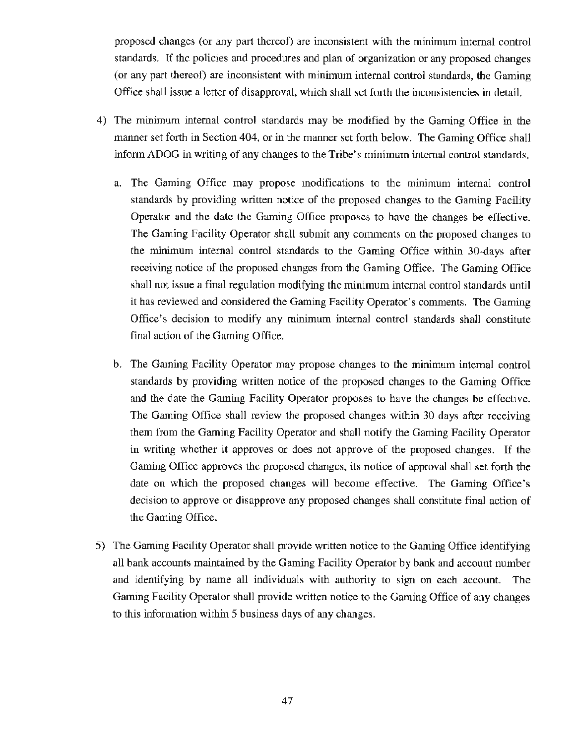proposed changes (or any part thereof) arc inconsistent with the minimum internal control standards. If the policies and procedures and plan of organization or any proposed changes (or any part thereof) are inconsistent with minimum internal control standards, the Gaming Office shall issue a letter of disapproval, which shall set forth the inconsistencies in detail.

- 4) The minimum internal control standards may be modified by the Gaming Office in the manner set forth in Section 404, or in the manner set forth below. The Gaming Office shall inform ADOG in writing of any changes to the Tribe's minimum internal control standards.
	- a. The Gaming Office may propose modifications to the minimum internal control standards by providing written notice of the proposed changes to the Gaming Facility Operator and the date the Gaming Office proposes to have the changes be effective. The Gaming Facility Operator shall submit any comments on the proposed changes to the minimum internal control standards to the Gaming Office within 30-days after receiving notice of the proposed changes from the Gaming Office. The Gaming Office shall not issue a final regulation modifying the minimum intemal control standards until it has reviewed and considered the Gaming Facility Operator's comments. The Gaming Office's decision to modify any minimum internal control standards shall constitute final action of the Gaming Office.
	- b. The Gaming Facility Operator may propose changes to the minimum internal control standards by providing written notice of the proposed changes to the Gaming Office and the date the Gaming Facility Operator proposes to have the changes be effective. The Gaming Office shall review the proposed changes within 30 days after receiving them from the Gaming Facility Operator and shall notify the Gaming Facility Operator in writing whether it approves or does not approve of the proposed changes. If the Gaming Office approves the proposed changes, its notice of approval shall set forth the date on which the proposed changes will become effective. The Gaming Office's decision to approve or disapprove any proposed changes shall constitute final action of the Gaming Office.
- 5) The Gaming Facility Operator shall provide written notice to the Gaming Office identifying all bank accounts maintained by the Gaming Facility Operator by bank and account number and identifying by name all individuals with authority to sign on each account. The Gaming Facility Operator shall provide written notice to the Gaming Office of any changes to this information within 5 business days of any changes.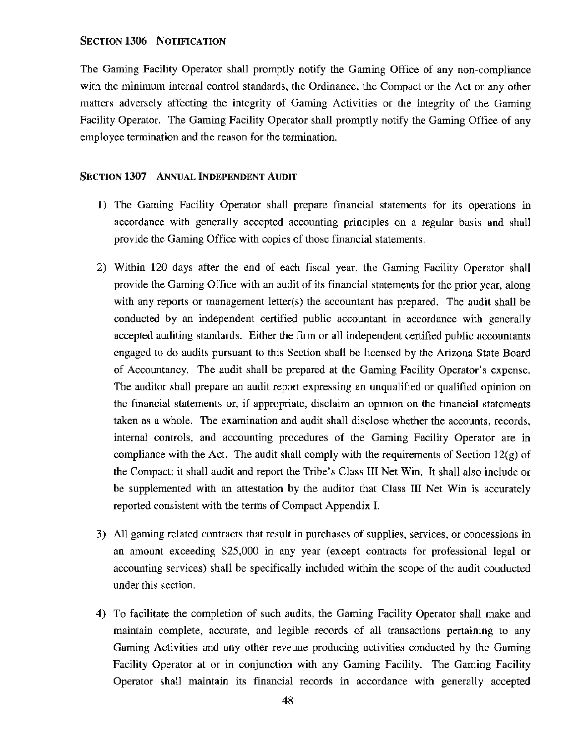#### SECTION 1306 NOTIFICATION

The Gaming Facility Operator shall promptly notify the Gaming Office of any non-compliance with the minimum internal control standards, the Ordinance, the Compact or the Act or any other matters adversely affecting the integrity of Gaming Activities or the integrity of the Gaming Facility Operator. The Gaming Facility Operator shall promptly notify the Gaming Office of any employee termination and the reason for the termination.

#### SECTION 1307 ANNUAL INDEPENDENT AUDIT

- 1) The Gaming Facility Operator shall prepare financial statements for its operations in accordance with generally accepted accounting principles on a regular basis and shall provide the Gaming Office with copies of those financial statements.
- 2) Within 120 days after the end of each fiscal year, the Gaming Facility Operator shall provide the Gaming Office with an audit of its financial statements for the prior year, along with any reports or management letter(s) the accountant has prepared. The audit shall be conducted by an independent certified public accountant in accordance with generally accepted auditing standards. Either the firm or all independent certified public accountants engaged to do audits pursuant to this Section shall be licensed by the Arizona State Board of Accountancy. The audit shall be prepared at the Gaming Facility Operator's expense. The auditor shall prepare an audit report expressing an unqualified or qualified opinion on the financial statements or, if appropriate, disclaim an opinion on the financial statements taken as a whole. The examination and audit shall disclose whether the accounts, records, internal controls, and accounting procedures of the Gaming Facility Operator are in compliance with the Act. The audit shall comply with the requirements of Section  $12(g)$  of the Compact; it shall audit and report the Tribe's Class III Net Win. It shall also include or be supplemented with an attestation by the auditor that Class III Net Win is accurately reported consistent with the terms of Compact Appendix L
- 3) All gaming related contracts that result in purchases of supplies, services, or concessions in an amount exceeding \$25,000 in any year (except contracts for professional legal or accounting services) shall be specifically included within the scope of the audit conducted under this section.
- 4) To facilitate the completion of such audits, the Gaming Facility Operator shall make and maintain complete, accurate, and legible records of all transactions pertaining to any Gaming Activities and any other revenue producing activities conducted by the Gaming Facility Operator at or in conjunction with any Gaming Facility. The Gaming Facility Operator shall maintain its financial records in accordance with generally accepted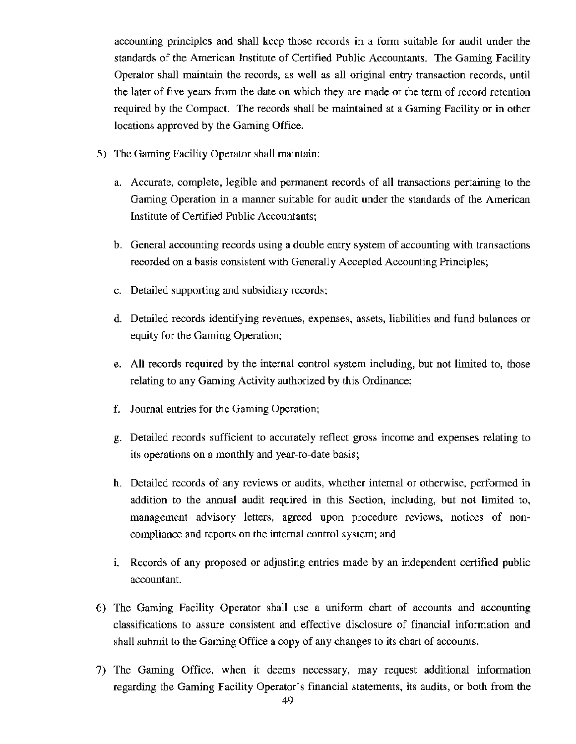accounting principles and shall keep those records in a form suitable for audit under the standards of the American Institute of Certified Public Accountants. The Gaming Facility Operator shall maintain the records, as well as all original entry transaction records, until the later of five years from the date on which they are made or the term of record retention required by the Compact. The records shall be maintained at a Gaming Facility or in other locations approved by the Gaming Office.

- 5) The Gaming Facility Operator shall maintain:
	- a. Accurate, complete, legible and permanent records of all transactions pertaining to the Gaming Operation in a manner suitable for audit under the standards of the American Institute of Certified Public Accountants;
	- b. General accounting records using a double entry system of accounting with transactions recorded on a basis consistent with Generally Accepted Accounting Principles;
	- c. Detailed supporting and subsidiary records;
	- d. Detailed records identifying revenues, expenses, assets, liabilities and fund balances or equity for the Gaming Operation;
	- e. All records required by the internal control system including, but not limited to, those relating to any Gaming Activity authorized by this Ordinance;
	- f. Journal entries for the Gaming Operation;
	- g. Detailed records sufficient to accurately reflect gross income and expenses relating to its operations on a monthly and year-to-date basis;
	- h. Detailed records of any reviews or audits, whether internal or otherwise, performed in addition to the annual audit required in this Section, including, but not limited to, management advisory letters, agreed upon procedure reviews, notices of noncompliance and reports on the intemal control system; and
	- 1. Records of any proposed or adjusting entries made by an independent certified public accountant.
- 6) The Gaming Facility Operator shall use a uniform chart of accounts and accounting classifications to assure consistent and effective disclosure of financial information and shall submit to the Gaming Office a copy of any changes to its chart of accounts.
- 7) The Gaming Office, when it deems necessary, may request additional information regarding the Gaming Facility Operator's financial statements, its audits, or both from the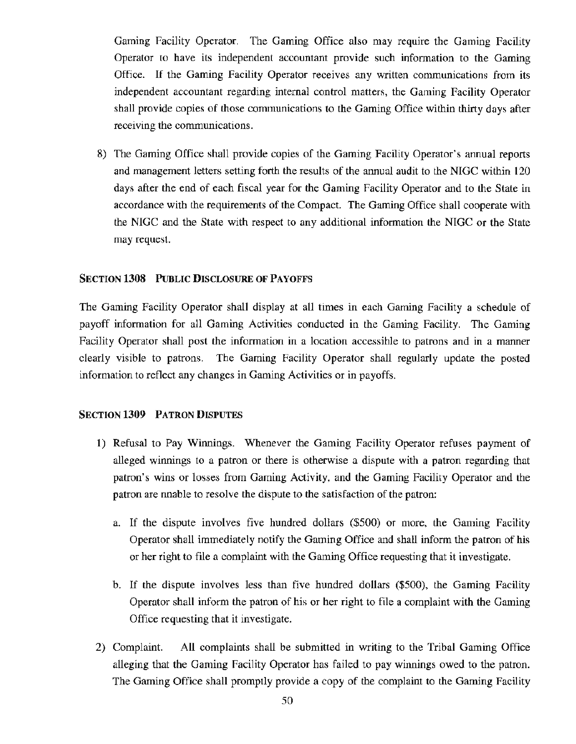Gaming Facility Operator. The Gaming Office also may require the Gaming Facility Operator to have its independent accountant provide such information to the Gaming Office. If the Gaming Facility Operator receives any written communications from its independent accountant regarding internal control matters, the Gaming Facility Operator shall provide copies of those communications to the Gaming Office within thirty days after receiving the communications.

8) The Gaming Office shall provide copies of the Gaming Facility Operator's annual reports and management letters setting forth the results of the annual audit to the NIGC within 120 days after the end of each fiscal year for the Gaming Facility Operator and to the State in accordance with the requirements of the Compact. The Gaming Office shall cooperate with the NIGC and the State with respect to any additional information the NIGC or the State may request.

#### SECTION 1308 PuBLIC DISCLOSURE OF PAYOFFS

The Gaming Facility Operator shall display at all times in each Gaming Facility a schedule of payoff information for all Gaming Activities conducted in the Gaming Facility. The Gaming Facility Operator shall post the information in a location accessible to patrons and in a manner clearly visible to patrons. The Gaming Facility Operator shall regularly update the posted information to reflect any changes in Gaming Activities or in payoffs.

#### SECTION 1309 PATRON DISPUTES

- 1) Refusal to Pay Winnings. Whenever the Gaming Facility Operator refuses payment of alleged winnings to a patron or there is otherwise a dispute with a patron regarding that patron's wins or losses from Gaming Activity, and the Gaming Facility Operator and the patron are nnable to resolve the dispute to the satisfaction of the patron:
	- a. If the dispute involves five hundred dollars (\$500) or more, the Gaming Facility Operator shall immediately notify the Gaming Office and shall inform the patron of his or her right to file a complaint with the Gaming Office requesting that it investigate.
	- b. If the dispute involves less than five hundred dollars (\$500), the Gaming Facility Operator shall inform the patron of his or her right to file a complaint with the Gaming Office requesting that it investigate.
- 2) Complaint. All complaints shall be submitted in writing to the Tribal Gaming Office alleging that the Gaming Facility Operator has failed to pay winnings owed to the patron. The Gaming Office shall promptly provide a copy of the complaint to the Gaming Facility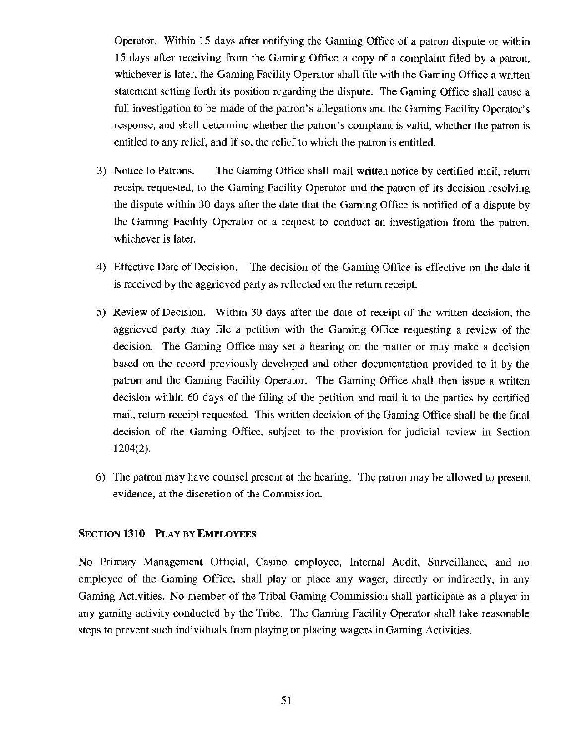Operator. Within 15 days after notifying the Gaming Office of a patron dispute or within 15 days after receiving from the Gaming Office a copy of a complaint filed by a patron, whichever is later, the Gaming Facility Operator shall file with the Gaming Office a written statement setting forth its position regarding the dispute. The Gaming Office shall cause a full investigation to be made of the patron's allegations and the Gaming Facility Operator's response, and shall determine whether the patron's complaint is valid, whether the patron is entitled to any relief, and if so, the relief to which the patron is entitled.

- 3) Notice to Patrons. The Gaming Office shall mail written notice by certified mail, return receipt requested, to the Gaming Facility Operator and the patron of its decision resolving the dispute within 30 days after the date that the Gaming Office is notified of a dispute by the Gaming Facility Operator or a request to conduct an investigation from the patron, whichever is later.
- 4) Effective Date of Decision. The decision of the Gaming Office is effective on the date it is received by the aggrieved party as reflected on the return receipt.
- 5) Review of Decision. Within 30 days after the date of receipt of the written decision, the aggrieved party may file a petition with the Gaming Office requesting a review of the decision. The Gaming Office may set a hearing on the matter or may make a decision based on the record previously developed and other documentation provided to it by the patron and the Gaming Facility Operator. The Gaming Office shall then issue a written decision within 60 days of the filing of the petition and mail it to the parties by certified mail, return receipt requested. This written decision of the Gaming Office shall be the final decision of the Gaming Office, subject to the provision for judicial review in Section 1204(2).
- 6) The patron may have counsel present at the hearing. The patron may be allowed to present evidence, at the discretion of the Commission.

## SECTION 1310 PLAY BY EMPLOYEES

No Primary Management Official, Casino employee, Internal Audit, Surveillance, and no employee of the Gaming Office, shall play or place any wager, directly or indirectly, in any Gaming Activities. No member of the Tribal Gaming Commission shall participate as a player in any gaming activity conducted by the Tribe. The Gaming Facility Operator shall take reasonable steps to prevent such individuals from playing or placing wagers in Gaming Activities.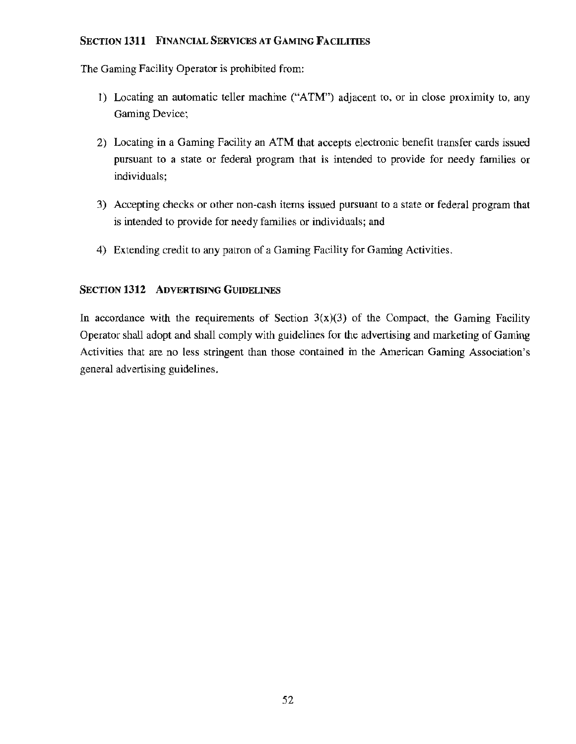# SECTION **1311** FINANCIAL SERVICES AT GAMING FACILITIES

The Gaming Facility Operator is prohibited from:

- 1) Locating an automatic teller machine ("ATM") adjacent to, or in close proximity to, any Gaming Device;
- 2) Locating in a Gaming Facility an ATM that accepts electronic benefit transfer cards issued pursuant to a state or federal program that is intended to provide for needy families or individuals;
- 3) Accepting checks or other non-cash items issued pursuant to a state or federal program that is intended to provide for needy families or individuals; and
- 4) Extending credit to any patron of a Gaming Facility for Gaming Activities.

# **SECTION 1312 ADVERTISING GUIDELINES**

In accordance with the requirements of Section  $3(x)(3)$  of the Compact, the Gaming Facility Operator shall adopt and shall comply with guidelines for the advertising and marketing of Gaming Activities that are no less stringent than those contained in the American Gaming Association's general advertising guidelines.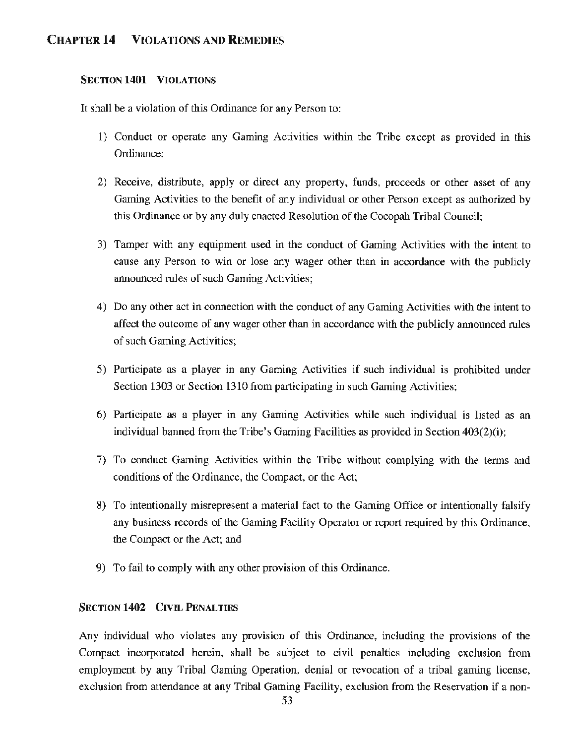# CHAPTER 14 VIOLATIONS AND REMEDIES

# SECTION 1401 VIOLATIONS

It shall be a violation of this Ordinance for any Person to:

- 1) Conduct or operate any Gaming Activities within the Tribe except as provided in this Ordinance;
- 2) Receive, distribute, apply or direct any property, funds, proceeds or other asset of any Gaming Activities to the benefit of any individual or other Person except as authorized by this Ordinance or by any duly enacted Resolution of the Cocopah Tribal Council;
- 3) Tamper with any equipment used in the conduct of Gaming Activities with the intent to cause any Person to win or lose any wager other than in accordance with the publicly announced rules of such Gaming Activities;
- 4) Do any other act in connection with the conduct of any Gaming Activities with the intent to affect the outcome of any wager other than in accordance with the publicly announced rules of such Gaming Activities;
- 5) Participate as a player in any Gaming Activities if such individual is prohibited under Section 1303 or Section 1310 from participating in such Gaming Activities;
- 6) Participate as a player in any Gaming Activities while such individual is listed as an individual banned from the Tribe's Gaming Facilities as provided in Section 403(2)(i);
- 7) To conduct Gaming Activities within the Tribe without complying with the terms and conditions of the Ordinance, the Compact, or the Act;
- 8) To intentionally misrepresent a material fact to the Gaming Office or intentionally falsify any business records of the Gaming Facility Operator or report required by this Ordinance, the Compact or the Act; and
- 9) To fail to comply with any other provision of this Ordinance.

## SECTION 1402 CIVIL PENALTIES

Any individual who violates any provision of this Ordinance, including the provisions of the Compact incorporated herein, shall be subject to civil penalties including exclusion from employment by any Tribal Gaming Operation, denial or revocation of a tribal gaming license, exclusion from attendance at any Tribal Gaming Facility, exclusion from the Reservation if a non-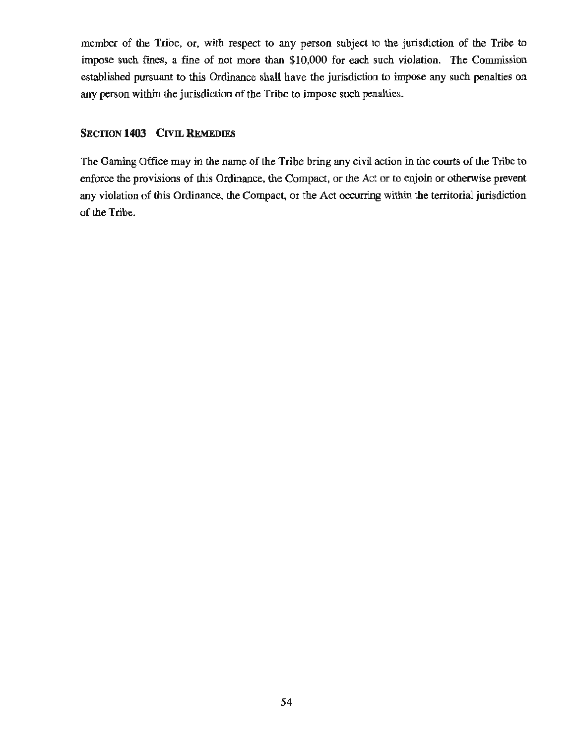member of the Tribe, or, with respect to any person subject to the jurisdiction of the Tribe to impose such fines, a fine of not more than \$10,000 for each such violation. The Commission established pursuant to this Ordinance shall have the jurisdiction to impose any such penalties on any person within the jurisdiction of the Tribe to impose such penalties.

#### SECTION **1403** CIVIL REMEDIES

The Gaming Office may in the name of the Tribe bring any civil action in the courts of the Tribe to enforce the provisions of this Ordinance, the Compact, or the Act or to enjoin or otherwise prevent any violation of this Ordinance, the Compact, or the Act occurring within the territorial jurisdiction of the Tribe.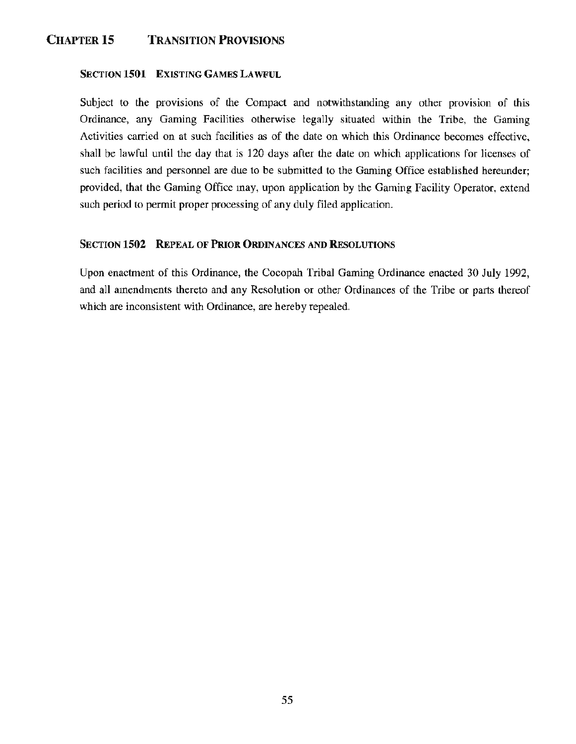# CHAPTER 15 TRANSITION PROVISIONS

## SECTION 1501 EXISTING GAMES LAWFUL

Subject to the provisions of the Compact and notwithstanding any other provision of this Ordinance, any Gaming Facilities otherwise legally situated within the Tribe, the Gaming Activities carried on at such facilities as of the date on which this Ordinance becomes effective, shall be lawful until the day that is 120 days after the date on which applications for licenses of such facilities and personnel are due to be submitted to the Gaming Office established hereunder; provided, that the Gaming Office may, upon application by the Gaming Facility Operator, extend such period to permit proper processing of any duly filed application.

# SECTION 1502 REPEAL OF PRIOR ORDINANCES AND RESOLUTIONS

Upon enactment of this Ordinance, the Cocopah Tribal Gaming Ordinance enacted 30 July 1992, and all amendments thereto and any Resolution or other Ordinances of the Tribe or parts thereof which are inconsistent with Ordinance, are hereby repealed.